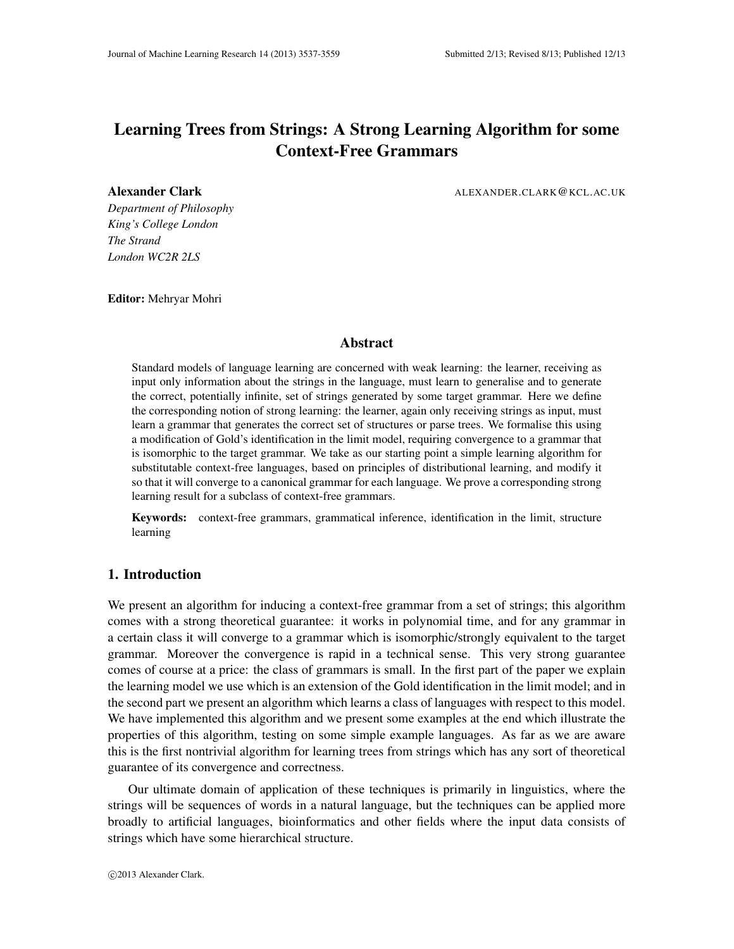# Learning Trees from Strings: A Strong Learning Algorithm for some Context-Free Grammars

Alexander Clark ALEXANDER.CLARK@KCL.AC.UK

*Department of Philosophy King's College London The Strand London WC2R 2LS*

Editor: Mehryar Mohri

## Abstract

Standard models of language learning are concerned with weak learning: the learner, receiving as input only information about the strings in the language, must learn to generalise and to generate the correct, potentially infinite, set of strings generated by some target grammar. Here we define the corresponding notion of strong learning: the learner, again only receiving strings as input, must learn a grammar that generates the correct set of structures or parse trees. We formalise this using a modification of Gold's identification in the limit model, requiring convergence to a grammar that is isomorphic to the target grammar. We take as our starting point a simple learning algorithm for substitutable context-free languages, based on principles of distributional learning, and modify it so that it will converge to a canonical grammar for each language. We prove a corresponding strong learning result for a subclass of context-free grammars.

Keywords: context-free grammars, grammatical inference, identification in the limit, structure learning

## 1. Introduction

We present an algorithm for inducing a context-free grammar from a set of strings; this algorithm comes with a strong theoretical guarantee: it works in polynomial time, and for any grammar in a certain class it will converge to a grammar which is isomorphic/strongly equivalent to the target grammar. Moreover the convergence is rapid in a technical sense. This very strong guarantee comes of course at a price: the class of grammars is small. In the first part of the paper we explain the learning model we use which is an extension of the Gold identification in the limit model; and in the second part we present an algorithm which learns a class of languages with respect to this model. We have implemented this algorithm and we present some examples at the end which illustrate the properties of this algorithm, testing on some simple example languages. As far as we are aware this is the first nontrivial algorithm for learning trees from strings which has any sort of theoretical guarantee of its convergence and correctness.

Our ultimate domain of application of these techniques is primarily in linguistics, where the strings will be sequences of words in a natural language, but the techniques can be applied more broadly to artificial languages, bioinformatics and other fields where the input data consists of strings which have some hierarchical structure.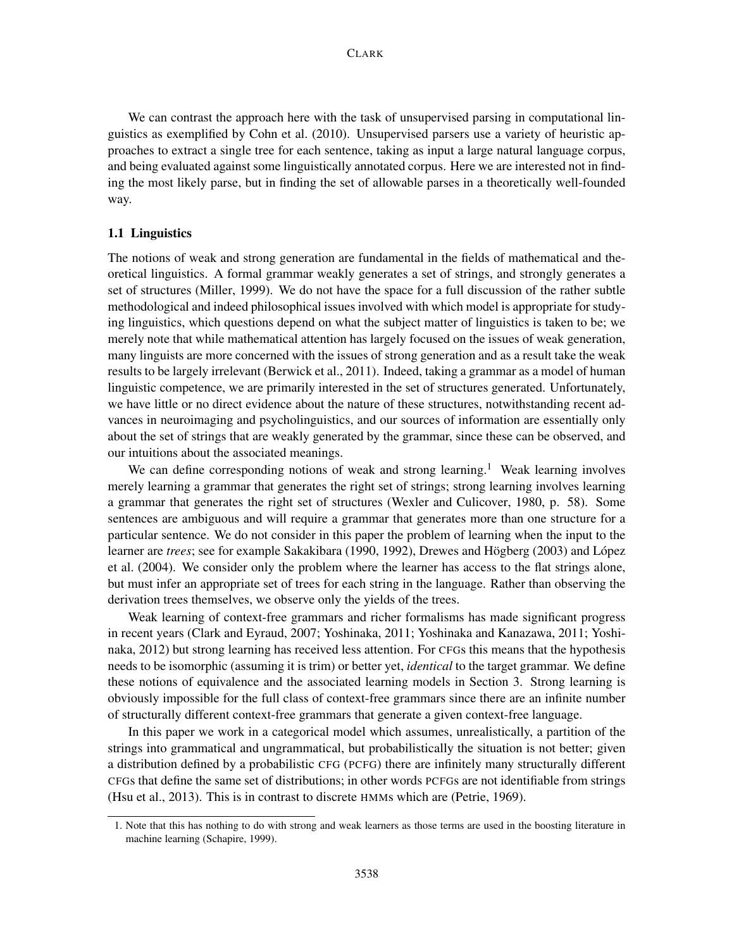We can contrast the approach here with the task of unsupervised parsing in computational linguistics as exemplified by Cohn et al. (2010). Unsupervised parsers use a variety of heuristic approaches to extract a single tree for each sentence, taking as input a large natural language corpus, and being evaluated against some linguistically annotated corpus. Here we are interested not in finding the most likely parse, but in finding the set of allowable parses in a theoretically well-founded way.

#### 1.1 Linguistics

The notions of weak and strong generation are fundamental in the fields of mathematical and theoretical linguistics. A formal grammar weakly generates a set of strings, and strongly generates a set of structures (Miller, 1999). We do not have the space for a full discussion of the rather subtle methodological and indeed philosophical issues involved with which model is appropriate for studying linguistics, which questions depend on what the subject matter of linguistics is taken to be; we merely note that while mathematical attention has largely focused on the issues of weak generation, many linguists are more concerned with the issues of strong generation and as a result take the weak results to be largely irrelevant (Berwick et al., 2011). Indeed, taking a grammar as a model of human linguistic competence, we are primarily interested in the set of structures generated. Unfortunately, we have little or no direct evidence about the nature of these structures, notwithstanding recent advances in neuroimaging and psycholinguistics, and our sources of information are essentially only about the set of strings that are weakly generated by the grammar, since these can be observed, and our intuitions about the associated meanings.

We can define corresponding notions of weak and strong learning.<sup>1</sup> Weak learning involves merely learning a grammar that generates the right set of strings; strong learning involves learning a grammar that generates the right set of structures (Wexler and Culicover, 1980, p. 58). Some sentences are ambiguous and will require a grammar that generates more than one structure for a particular sentence. We do not consider in this paper the problem of learning when the input to the learner are *trees*; see for example Sakakibara (1990, 1992), Drewes and Högberg (2003) and López et al. (2004). We consider only the problem where the learner has access to the flat strings alone, but must infer an appropriate set of trees for each string in the language. Rather than observing the derivation trees themselves, we observe only the yields of the trees.

Weak learning of context-free grammars and richer formalisms has made significant progress in recent years (Clark and Eyraud, 2007; Yoshinaka, 2011; Yoshinaka and Kanazawa, 2011; Yoshinaka, 2012) but strong learning has received less attention. For CFGs this means that the hypothesis needs to be isomorphic (assuming it is trim) or better yet, *identical* to the target grammar. We define these notions of equivalence and the associated learning models in Section 3. Strong learning is obviously impossible for the full class of context-free grammars since there are an infinite number of structurally different context-free grammars that generate a given context-free language.

In this paper we work in a categorical model which assumes, unrealistically, a partition of the strings into grammatical and ungrammatical, but probabilistically the situation is not better; given a distribution defined by a probabilistic CFG (PCFG) there are infinitely many structurally different CFGs that define the same set of distributions; in other words PCFGs are not identifiable from strings (Hsu et al., 2013). This is in contrast to discrete HMMs which are (Petrie, 1969).

<sup>1.</sup> Note that this has nothing to do with strong and weak learners as those terms are used in the boosting literature in machine learning (Schapire, 1999).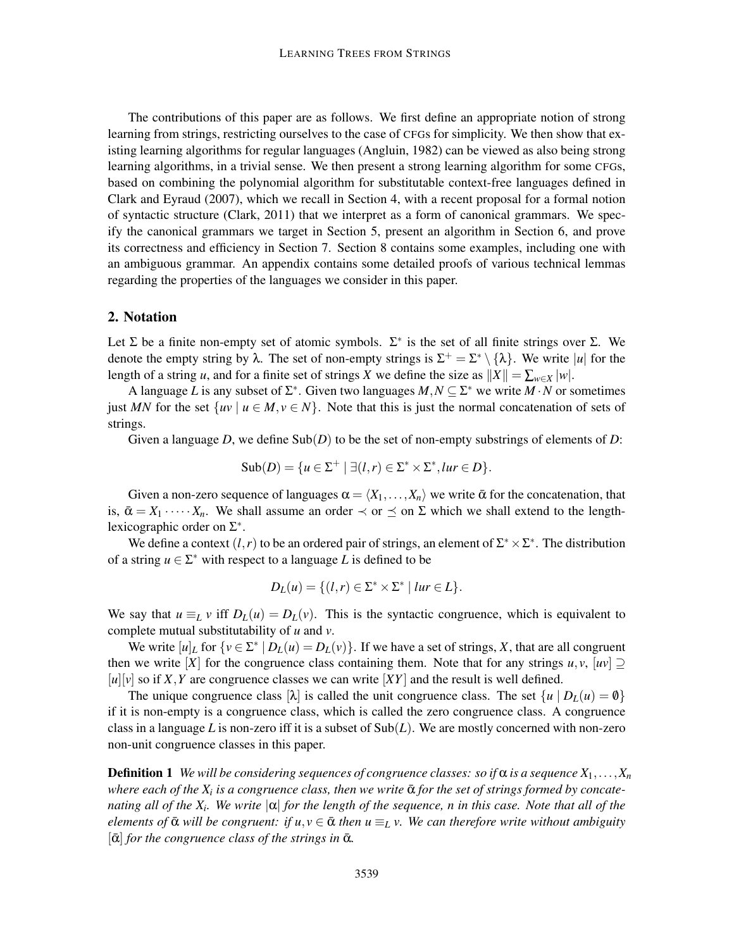The contributions of this paper are as follows. We first define an appropriate notion of strong learning from strings, restricting ourselves to the case of CFGs for simplicity. We then show that existing learning algorithms for regular languages (Angluin, 1982) can be viewed as also being strong learning algorithms, in a trivial sense. We then present a strong learning algorithm for some CFGs, based on combining the polynomial algorithm for substitutable context-free languages defined in Clark and Eyraud (2007), which we recall in Section 4, with a recent proposal for a formal notion of syntactic structure (Clark, 2011) that we interpret as a form of canonical grammars. We specify the canonical grammars we target in Section 5, present an algorithm in Section 6, and prove its correctness and efficiency in Section 7. Section 8 contains some examples, including one with an ambiguous grammar. An appendix contains some detailed proofs of various technical lemmas regarding the properties of the languages we consider in this paper.

## 2. Notation

Let  $\Sigma$  be a finite non-empty set of atomic symbols.  $\Sigma^*$  is the set of all finite strings over  $\Sigma$ . We denote the empty string by  $\lambda$ . The set of non-empty strings is  $\Sigma^+ = \Sigma^* \setminus {\{\lambda\}}$ . We write |*u*| for the length of a string *u*, and for a finite set of strings *X* we define the size as  $||X|| = \sum_{w \in X} |w|$ .

A language *L* is any subset of  $\Sigma^*$ . Given two languages  $M, N \subseteq \Sigma^*$  we write  $M \cdot N$  or sometimes just *MN* for the set  $\{uv \mid u \in M, v \in N\}$ . Note that this is just the normal concatenation of sets of strings.

Given a language *D*, we define  $\text{Sub}(D)$  to be the set of non-empty substrings of elements of *D*:

$$
\mathrm{Sub}(D) = \{u \in \Sigma^+ \mid \exists (l, r) \in \Sigma^* \times \Sigma^*, lur \in D\}.
$$

Given a non-zero sequence of languages  $\alpha = \langle X_1, \ldots, X_n \rangle$  we write  $\bar{\alpha}$  for the concatenation, that is,  $\bar{\alpha} = X_1 \cdots X_n$ . We shall assume an order  $\prec$  or  $\preceq$  on  $\Sigma$  which we shall extend to the lengthlexicographic order on  $\Sigma^*$ .

We define a context  $(l, r)$  to be an ordered pair of strings, an element of  $\Sigma^* \times \Sigma^*$ . The distribution of a string  $u \in \Sigma^*$  with respect to a language *L* is defined to be

$$
D_L(u) = \{(l, r) \in \Sigma^* \times \Sigma^* \mid \text{I}ur \in L\}.
$$

We say that  $u \equiv_L v$  iff  $D_L(u) = D_L(v)$ . This is the syntactic congruence, which is equivalent to complete mutual substitutability of *u* and *v*.

We write  $[u]_L$  for  $\{v \in \Sigma^* \mid D_L(u) = D_L(v)\}$ . If we have a set of strings, *X*, that are all congruent then we write [*X*] for the congruence class containing them. Note that for any strings  $u, v, [uv] \supseteq$  $[u][v]$  so if X, Y are congruence classes we can write  $[XY]$  and the result is well defined.

The unique congruence class  $[\lambda]$  is called the unit congruence class. The set  $\{u \mid D_L(u) = \emptyset\}$ if it is non-empty is a congruence class, which is called the zero congruence class. A congruence class in a language L is non-zero iff it is a subset of  $Sub(L)$ . We are mostly concerned with non-zero non-unit congruence classes in this paper.

**Definition 1** We will be considering sequences of congruence classes: so if  $\alpha$  is a sequence  $X_1, \ldots, X_n$  $\omega$  where each of the  $X_i$  is a congruence class, then we write  $\bar{\alpha}$  for the set of strings formed by concate*nating all of the X<sup>i</sup> . We write* |α| *for the length of the sequence, n in this case. Note that all of the elements of*  $\bar{\alpha}$  *will be congruent: if u, v*  $\in \bar{\alpha}$  *then u*  $\equiv_L v$ *. We can therefore write without ambiguity*  $[\bar{\alpha}]$  *for the congruence class of the strings in*  $\bar{\alpha}$ *.*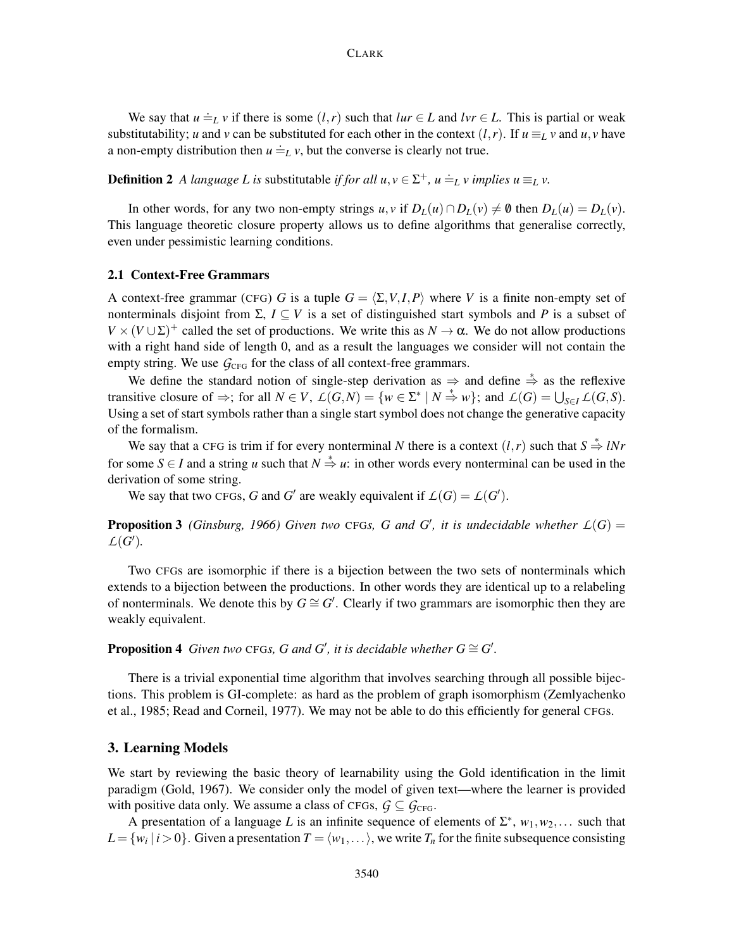We say that  $u \doteq_L v$  if there is some  $(l, r)$  such that  $lur \in L$  and  $lvr \in L$ . This is partial or weak substitutability; *u* and *v* can be substituted for each other in the context  $(l, r)$ . If  $u \equiv_L v$  and  $u, v$  have a non-empty distribution then  $u \doteq_L v$ , but the converse is clearly not true.

**Definition 2** A language L is substitutable *if for all*  $u, v \in \Sigma^{+}$ ,  $u \doteq_{L} v$  *implies*  $u \equiv_{L} v$ .

In other words, for any two non-empty strings  $u, v$  if  $D_L(u) \cap D_L(v) \neq \emptyset$  then  $D_L(u) = D_L(v)$ . This language theoretic closure property allows us to define algorithms that generalise correctly, even under pessimistic learning conditions.

#### 2.1 Context-Free Grammars

A context-free grammar (CFG) *G* is a tuple  $G = \langle \Sigma, V, I, P \rangle$  where *V* is a finite non-empty set of nonterminals disjoint from  $\Sigma$ ,  $I \subseteq V$  is a set of distinguished start symbols and P is a subset of  $V \times (V \cup \Sigma)^+$  called the set of productions. We write this as  $N \to \alpha$ . We do not allow productions with a right hand side of length 0, and as a result the languages we consider will not contain the empty string. We use  $G_{\text{CFG}}$  for the class of all context-free grammars.

We define the standard notion of single-step derivation as  $\Rightarrow$  and define  $\stackrel{*}{\Rightarrow}$  as the reflexive transitive closure of  $\Rightarrow$ ; for all  $N \in V$ ,  $\mathcal{L}(G,N) = \{w \in \Sigma^* \mid N \stackrel{*}{\Rightarrow} w\}$ ; and  $\mathcal{L}(G) = \bigcup_{S \in I} \mathcal{L}(G,S)$ . Using a set of start symbols rather than a single start symbol does not change the generative capacity of the formalism.

We say that a CFG is trim if for every nonterminal *N* there is a context  $(l, r)$  such that  $S \stackrel{*}{\Rightarrow} lNr$ for some  $S \in I$  and a string *u* such that  $N \stackrel{*}{\Rightarrow} u$ : in other words every nonterminal can be used in the derivation of some string.

We say that two CFGs, *G* and *G*<sup> $\prime$ </sup> are weakly equivalent if  $\mathcal{L}(G) = \mathcal{L}(G^{\prime})$ .

**Proposition 3** (Ginsburg, 1966) Given two CFGs, G and G', it is undecidable whether  $L(G)$  =  $L(G')$ .

Two CFGs are isomorphic if there is a bijection between the two sets of nonterminals which extends to a bijection between the productions. In other words they are identical up to a relabeling of nonterminals. We denote this by  $G \cong G'$ . Clearly if two grammars are isomorphic then they are weakly equivalent.

## **Proposition 4** Given two CFGs, G and G', it is decidable whether  $G \cong G'$ .

There is a trivial exponential time algorithm that involves searching through all possible bijections. This problem is GI-complete: as hard as the problem of graph isomorphism (Zemlyachenko et al., 1985; Read and Corneil, 1977). We may not be able to do this efficiently for general CFGs.

## 3. Learning Models

We start by reviewing the basic theory of learnability using the Gold identification in the limit paradigm (Gold, 1967). We consider only the model of given text—where the learner is provided with positive data only. We assume a class of CFGs,  $G \subseteq G_{\text{CFG}}$ .

A presentation of a language L is an infinite sequence of elements of  $\Sigma^*$ ,  $w_1, w_2, \ldots$  such that  $L = \{w_i \mid i > 0\}$ . Given a presentation  $T = \langle w_1, \dots \rangle$ , we write  $T_n$  for the finite subsequence consisting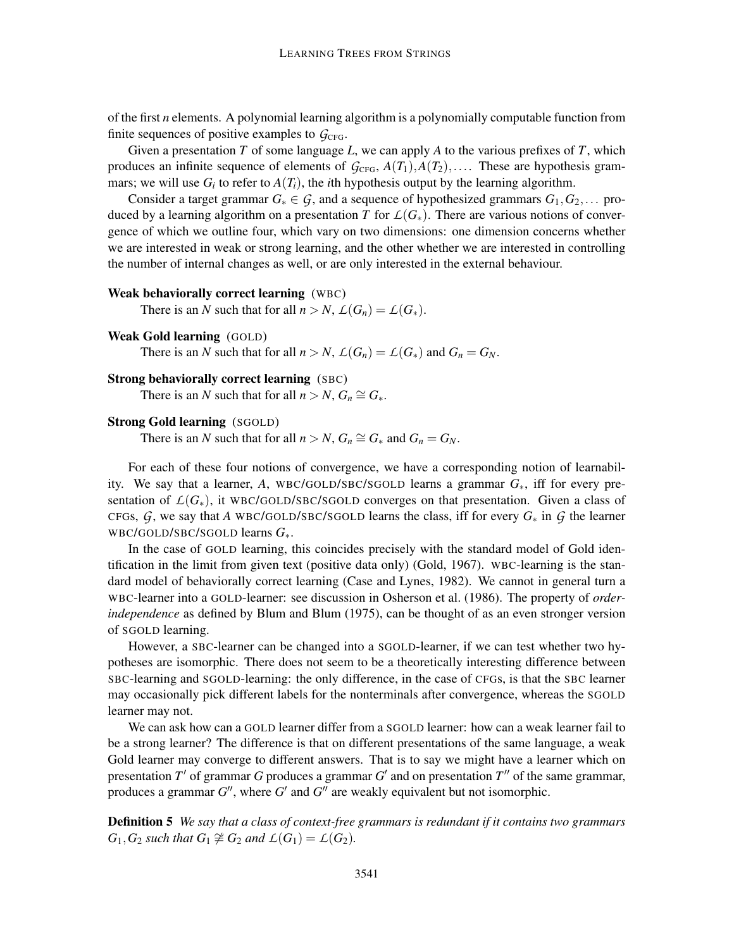of the first *n* elements. A polynomial learning algorithm is a polynomially computable function from finite sequences of positive examples to  $G_{CFG}$ .

Given a presentation *T* of some language *L*, we can apply *A* to the various prefixes of *T*, which produces an infinite sequence of elements of  $G_{\text{CFG}}$ ,  $A(T_1), A(T_2), \ldots$ . These are hypothesis grammars; we will use  $G_i$  to refer to  $A(T_i)$ , the *i*th hypothesis output by the learning algorithm.

Consider a target grammar  $G_* \in \mathcal{G}$ , and a sequence of hypothesized grammars  $G_1, G_2, \ldots$  produced by a learning algorithm on a presentation *T* for  $\mathcal{L}(G_*)$ . There are various notions of convergence of which we outline four, which vary on two dimensions: one dimension concerns whether we are interested in weak or strong learning, and the other whether we are interested in controlling the number of internal changes as well, or are only interested in the external behaviour.

#### Weak behaviorally correct learning (WBC)

There is an *N* such that for all  $n > N$ ,  $\mathcal{L}(G_n) = \mathcal{L}(G_*)$ .

Weak Gold learning (GOLD)

There is an *N* such that for all  $n > N$ ,  $\mathcal{L}(G_n) = \mathcal{L}(G_*)$  and  $G_n = G_N$ .

#### Strong behaviorally correct learning (SBC)

There is an *N* such that for all  $n > N$ ,  $G_n \cong G_*$ .

## Strong Gold learning (SGOLD)

There is an *N* such that for all  $n > N$ ,  $G_n \cong G_*$  and  $G_n = G_N$ .

For each of these four notions of convergence, we have a corresponding notion of learnability. We say that a learner, *A*, WBC/GOLD/SBC/SGOLD learns a grammar *G*∗, iff for every presentation of  $L(G_*)$ , it WBC/GOLD/SBC/SGOLD converges on that presentation. Given a class of CFGs,  $G$ , we say that *A* WBC/GOLD/SBC/SGOLD learns the class, iff for every  $G_*$  in  $G$  the learner WBC/GOLD/SBC/SGOLD learns *G*∗.

In the case of GOLD learning, this coincides precisely with the standard model of Gold identification in the limit from given text (positive data only) (Gold, 1967). WBC-learning is the standard model of behaviorally correct learning (Case and Lynes, 1982). We cannot in general turn a WBC-learner into a GOLD-learner: see discussion in Osherson et al. (1986). The property of *orderindependence* as defined by Blum and Blum (1975), can be thought of as an even stronger version of SGOLD learning.

However, a SBC-learner can be changed into a SGOLD-learner, if we can test whether two hypotheses are isomorphic. There does not seem to be a theoretically interesting difference between SBC-learning and SGOLD-learning: the only difference, in the case of CFGs, is that the SBC learner may occasionally pick different labels for the nonterminals after convergence, whereas the SGOLD learner may not.

We can ask how can a GOLD learner differ from a SGOLD learner: how can a weak learner fail to be a strong learner? The difference is that on different presentations of the same language, a weak Gold learner may converge to different answers. That is to say we might have a learner which on presentation *T'* of grammar *G* produces a grammar *G'* and on presentation *T''* of the same grammar, produces a grammar  $G''$ , where  $G'$  and  $G''$  are weakly equivalent but not isomorphic.

Definition 5 *We say that a class of context-free grammars is redundant if it contains two grammars*  $G_1$ ,  $G_2$  *such that*  $G_1 \not\cong G_2$  *and*  $L(G_1) = L(G_2)$ *.*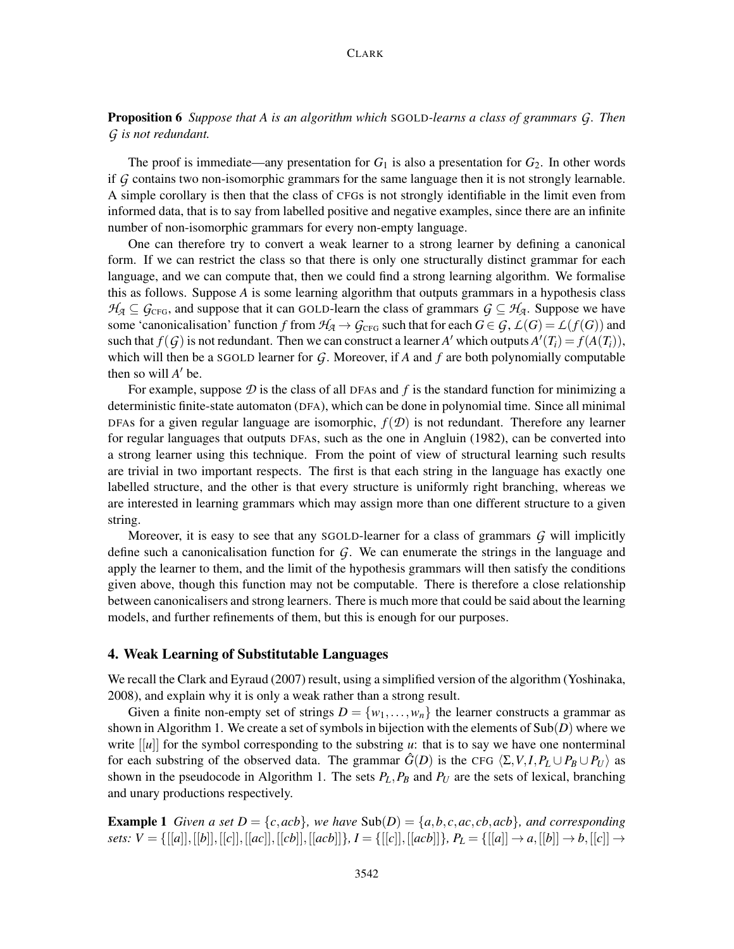Proposition 6 *Suppose that A is an algorithm which* SGOLD*-learns a class of grammars G. Then G is not redundant.*

The proof is immediate—any presentation for  $G_1$  is also a presentation for  $G_2$ . In other words if *G* contains two non-isomorphic grammars for the same language then it is not strongly learnable. A simple corollary is then that the class of CFGs is not strongly identifiable in the limit even from informed data, that is to say from labelled positive and negative examples, since there are an infinite number of non-isomorphic grammars for every non-empty language.

One can therefore try to convert a weak learner to a strong learner by defining a canonical form. If we can restrict the class so that there is only one structurally distinct grammar for each language, and we can compute that, then we could find a strong learning algorithm. We formalise this as follows. Suppose *A* is some learning algorithm that outputs grammars in a hypothesis class *H*<sub>*A*</sub> ⊆ *G*<sub>CFG</sub>, and suppose that it can GOLD-learn the class of grammars  $G \subseteq H_A$ . Suppose we have some 'canonicalisation' function *f* from  $H_A \to G_{\text{CFG}}$  such that for each  $G \in G$ ,  $\mathcal{L}(G) = \mathcal{L}(f(G))$  and such that  $f(G)$  is not redundant. Then we can construct a learner A' which outputs  $A'(T_i) = f(A(T_i))$ , which will then be a SGOLD learner for *G*. Moreover, if *A* and *f* are both polynomially computable then so will  $A'$  be.

For example, suppose  $\mathcal D$  is the class of all DFAs and  $f$  is the standard function for minimizing a deterministic finite-state automaton (DFA), which can be done in polynomial time. Since all minimal DFAs for a given regular language are isomorphic,  $f(\mathcal{D})$  is not redundant. Therefore any learner for regular languages that outputs DFAs, such as the one in Angluin (1982), can be converted into a strong learner using this technique. From the point of view of structural learning such results are trivial in two important respects. The first is that each string in the language has exactly one labelled structure, and the other is that every structure is uniformly right branching, whereas we are interested in learning grammars which may assign more than one different structure to a given string.

Moreover, it is easy to see that any SGOLD-learner for a class of grammars *G* will implicitly define such a canonicalisation function for *G*. We can enumerate the strings in the language and apply the learner to them, and the limit of the hypothesis grammars will then satisfy the conditions given above, though this function may not be computable. There is therefore a close relationship between canonicalisers and strong learners. There is much more that could be said about the learning models, and further refinements of them, but this is enough for our purposes.

#### 4. Weak Learning of Substitutable Languages

We recall the Clark and Eyraud (2007) result, using a simplified version of the algorithm (Yoshinaka, 2008), and explain why it is only a weak rather than a strong result.

Given a finite non-empty set of strings  $D = \{w_1, \ldots, w_n\}$  the learner constructs a grammar as shown in Algorithm 1. We create a set of symbols in bijection with the elements of Sub(*D*) where we write  $\vert u \vert$  for the symbol corresponding to the substring *u*: that is to say we have one nonterminal for each substring of the observed data. The grammar  $\hat{G}(D)$  is the CFG  $\langle \Sigma, V, I, P_L \cup P_B \cup P_U \rangle$  as shown in the pseudocode in Algorithm 1. The sets  $P_L$ ,  $P_B$  and  $P_U$  are the sets of lexical, branching and unary productions respectively.

**Example 1** Given a set  $D = \{c, acb\}$ , we have  $Sub(D) = \{a, b, c, ac, cb, acb\}$ , and corresponding sets:  $V = \{[[a]], [[b]], [[c]], [[ac]], [[acb]], [[acb]], I = \{[[c], [[acb]]\}, P_L = \{[[a]] \rightarrow a, [[b]] \rightarrow b, [[c]] \rightarrow b, [[c]] \rightarrow b, [[c]] \rightarrow b, [[c]] \rightarrow b, [[c]] \rightarrow b, [[c]] \rightarrow b, [[c]] \rightarrow b, [[c]] \rightarrow b, [[c]] \rightarrow b, [[c]] \rightarrow b, [[c]] \rightarrow b, [[c]] \rightarrow b, [[c]] \rightarrow b, [[c]] \rightarrow b, [[c]] \rightarrow b, [[c]] \rightarrow b, [[c]] \rightarrow b, [[c]] \rightarrow b, [[c]] \rightarrow b, [[c]] \rightarrow b, [[c]] \rightarrow b, [[c]] \rightarrow b, [[c]] \rightarrow b,$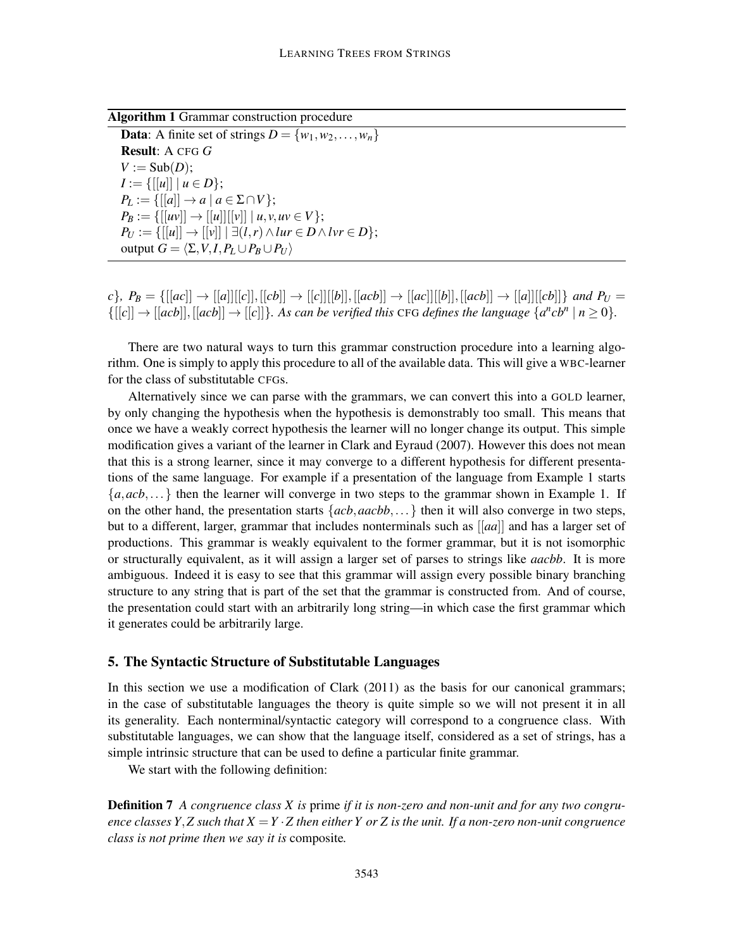Algorithm 1 Grammar construction procedure

**Data:** A finite set of strings  $D = \{w_1, w_2, \ldots, w_n\}$ Result: A CFG *G*  $V := Sub(D)$ :  $I := \{[[u]] \mid u \in D\};\$  $P_L := \{[[a]] \rightarrow a \mid a \in \Sigma \cap V\};\$  $P_B := \{[[uv]] \rightarrow [[u]][[v]] \mid u, v, uv \in V\};\$  $P_U := \{[[u]] \rightarrow [[v]] \mid \exists (l,r) \land \text{I}ur \in D \land \text{I}vr \in D\};\$ output  $G = \langle \Sigma, V, I, P_L \cup P_B \cup P_U \rangle$ 

 $c$ },  $P_B = \{[[ac]] \rightarrow [[a]][[c]], [[cb]] \rightarrow [[c]][[b]], [[acb]] \rightarrow [[ac]][[b]], [[acb]] \rightarrow [[a]][[cb]]\}$  and  $P_U =$  $\{[[c]] \rightarrow [[acb]], [[acb]] \rightarrow [[c]]\}$ *. As can be verified this CFG defines the language*  $\{a^n cb^n \mid n \ge 0\}$ *.* 

There are two natural ways to turn this grammar construction procedure into a learning algorithm. One is simply to apply this procedure to all of the available data. This will give a WBC-learner for the class of substitutable CFGs.

Alternatively since we can parse with the grammars, we can convert this into a GOLD learner, by only changing the hypothesis when the hypothesis is demonstrably too small. This means that once we have a weakly correct hypothesis the learner will no longer change its output. This simple modification gives a variant of the learner in Clark and Eyraud (2007). However this does not mean that this is a strong learner, since it may converge to a different hypothesis for different presentations of the same language. For example if a presentation of the language from Example 1 starts  ${a, acb,...}$  then the learner will converge in two steps to the grammar shown in Example 1. If on the other hand, the presentation starts {*acb*,*aacbb*,...} then it will also converge in two steps, but to a different, larger, grammar that includes nonterminals such as [[*aa*]] and has a larger set of productions. This grammar is weakly equivalent to the former grammar, but it is not isomorphic or structurally equivalent, as it will assign a larger set of parses to strings like *aacbb*. It is more ambiguous. Indeed it is easy to see that this grammar will assign every possible binary branching structure to any string that is part of the set that the grammar is constructed from. And of course, the presentation could start with an arbitrarily long string—in which case the first grammar which it generates could be arbitrarily large.

## 5. The Syntactic Structure of Substitutable Languages

In this section we use a modification of Clark (2011) as the basis for our canonical grammars; in the case of substitutable languages the theory is quite simple so we will not present it in all its generality. Each nonterminal/syntactic category will correspond to a congruence class. With substitutable languages, we can show that the language itself, considered as a set of strings, has a simple intrinsic structure that can be used to define a particular finite grammar.

We start with the following definition:

**Definition 7** A congruence class X is prime if it is non-zero and non-unit and for any two congru*ence classes Y*,*Z such that X* =*Y* ·*Z then either Y or Z is the unit. If a non-zero non-unit congruence class is not prime then we say it is* composite*.*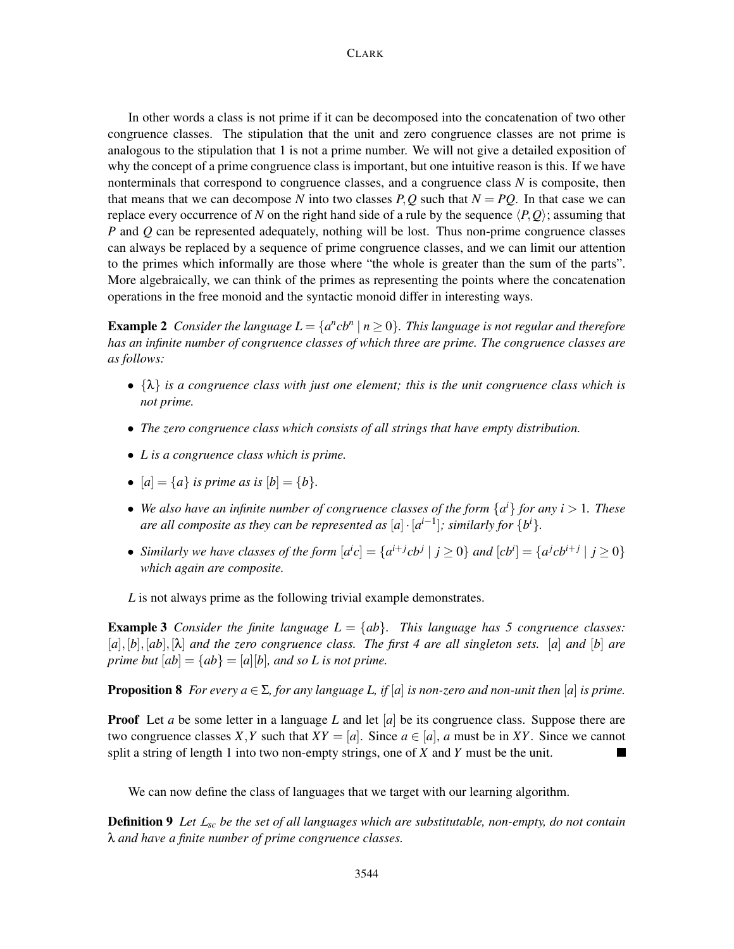In other words a class is not prime if it can be decomposed into the concatenation of two other congruence classes. The stipulation that the unit and zero congruence classes are not prime is analogous to the stipulation that 1 is not a prime number. We will not give a detailed exposition of why the concept of a prime congruence class is important, but one intuitive reason is this. If we have nonterminals that correspond to congruence classes, and a congruence class *N* is composite, then that means that we can decompose N into two classes  $P, Q$  such that  $N = PO$ . In that case we can replace every occurrence of N on the right hand side of a rule by the sequence  $\langle P, Q \rangle$ ; assuming that *P* and *Q* can be represented adequately, nothing will be lost. Thus non-prime congruence classes can always be replaced by a sequence of prime congruence classes, and we can limit our attention to the primes which informally are those where "the whole is greater than the sum of the parts". More algebraically, we can think of the primes as representing the points where the concatenation operations in the free monoid and the syntactic monoid differ in interesting ways.

**Example 2** Consider the language  $L = \{a^n cb^n \mid n \ge 0\}$ . This language is not regular and therefore *has an infinite number of congruence classes of which three are prime. The congruence classes are as follows:*

- {λ} *is a congruence class with just one element; this is the unit congruence class which is not prime.*
- *The zero congruence class which consists of all strings that have empty distribution.*
- *L is a congruence class which is prime.*
- $[a] = \{a\}$  *is prime as is*  $[b] = \{b\}.$
- We also have an infinite number of congruence classes of the form  $\{a^i\}$  for any  $i > 1$ . These *are all composite as they can be represented as*  $[a] \cdot [a^{i-1}]$ *; similarly for*  $\{b^{i}\}$ .
- Similarly we have classes of the form  $[a^i c] = \{a^{i+j} cb^j | j \ge 0\}$  and  $[cb^i] = \{a^j cb^{i+j} | j \ge 0\}$ *which again are composite.*

*L* is not always prime as the following trivial example demonstrates.

**Example 3** *Consider the finite language*  $L = \{ab\}$ *. This language has 5 congruence classes:* [*a*],[*b*],[*ab*],[λ] *and the zero congruence class. The first 4 are all singleton sets.* [*a*] *and* [*b*] *are prime but*  $[ab] = \{ab\} = [a][b]$ *, and so L is not prime.* 

**Proposition 8** *For every a*  $\in \Sigma$ *, for any language L, if* [*a*] *is non-zero and non-unit then* [*a*] *is prime.* 

**Proof** Let *a* be some letter in a language *L* and let [*a*] be its congruence class. Suppose there are two congruence classes *X*, *Y* such that  $XY = [a]$ . Since  $a \in [a]$ , *a* must be in *XY*. Since we cannot split a string of length 1 into two non-empty strings, one of *X* and *Y* must be the unit.

We can now define the class of languages that we target with our learning algorithm.

Definition 9 *Let Lsc be the set of all languages which are substitutable, non-empty, do not contain* λ *and have a finite number of prime congruence classes.*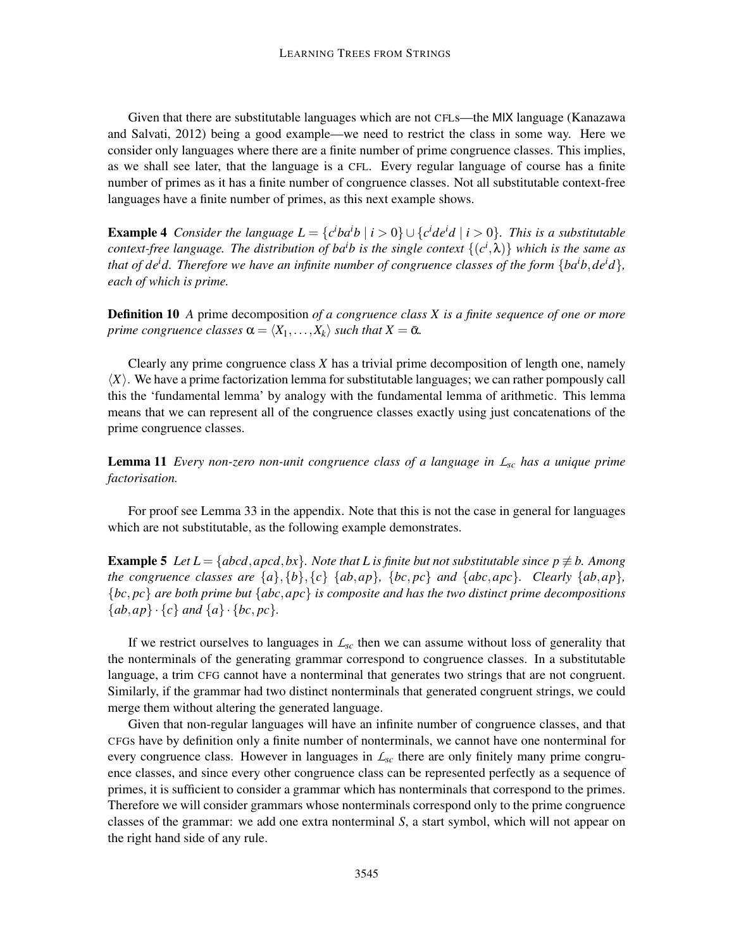Given that there are substitutable languages which are not CFLs—the MIX language (Kanazawa and Salvati, 2012) being a good example—we need to restrict the class in some way. Here we consider only languages where there are a finite number of prime congruence classes. This implies, as we shall see later, that the language is a CFL. Every regular language of course has a finite number of primes as it has a finite number of congruence classes. Not all substitutable context-free languages have a finite number of primes, as this next example shows.

**Example 4** Consider the language  $L = \{c^i b a^i b \mid i > 0\} \cup \{c^i d e^i d \mid i > 0\}$ . This is a substitutable *context-free language. The distribution of baib is the single context* {(*c i* ,λ)} *which is the same as that of deid. Therefore we have an infinite number of congruence classes of the form* {*baib*,*deid*}*, each of which is prime.*

Definition 10 *A* prime decomposition *of a congruence class X is a finite sequence of one or more prime congruence classes*  $\alpha = \langle X_1, \ldots, X_k \rangle$  *such that*  $X = \overline{\alpha}$ *.* 

Clearly any prime congruence class *X* has a trivial prime decomposition of length one, namely  $\langle X \rangle$ . We have a prime factorization lemma for substitutable languages; we can rather pompously call this the 'fundamental lemma' by analogy with the fundamental lemma of arithmetic. This lemma means that we can represent all of the congruence classes exactly using just concatenations of the prime congruence classes.

Lemma 11 *Every non-zero non-unit congruence class of a language in Lsc has a unique prime factorisation.*

For proof see Lemma 33 in the appendix. Note that this is not the case in general for languages which are not substitutable, as the following example demonstrates.

**Example 5** *Let*  $L = \{abcd, apcd, bx\}$ *. Note that* L is finite but not substitutable since  $p \not\equiv b$ *. Among the congruence classes are*  $\{a\}, \{b\}, \{c\}$   $\{ab, ap\}$ *,*  $\{bc, pc\}$  *and*  $\{abc, apc\}$ *. Clearly*  $\{ab, ap\}$ *,* {*bc*, *pc*} *are both prime but* {*abc*,*apc*} *is composite and has the two distinct prime decompositions*  ${ab, ap} \cdot {c}$  *and*  ${a} \cdot {bc, pc}$ *.* 

If we restrict ourselves to languages in *Lsc* then we can assume without loss of generality that the nonterminals of the generating grammar correspond to congruence classes. In a substitutable language, a trim CFG cannot have a nonterminal that generates two strings that are not congruent. Similarly, if the grammar had two distinct nonterminals that generated congruent strings, we could merge them without altering the generated language.

Given that non-regular languages will have an infinite number of congruence classes, and that CFGs have by definition only a finite number of nonterminals, we cannot have one nonterminal for every congruence class. However in languages in *Lsc* there are only finitely many prime congruence classes, and since every other congruence class can be represented perfectly as a sequence of primes, it is sufficient to consider a grammar which has nonterminals that correspond to the primes. Therefore we will consider grammars whose nonterminals correspond only to the prime congruence classes of the grammar: we add one extra nonterminal *S*, a start symbol, which will not appear on the right hand side of any rule.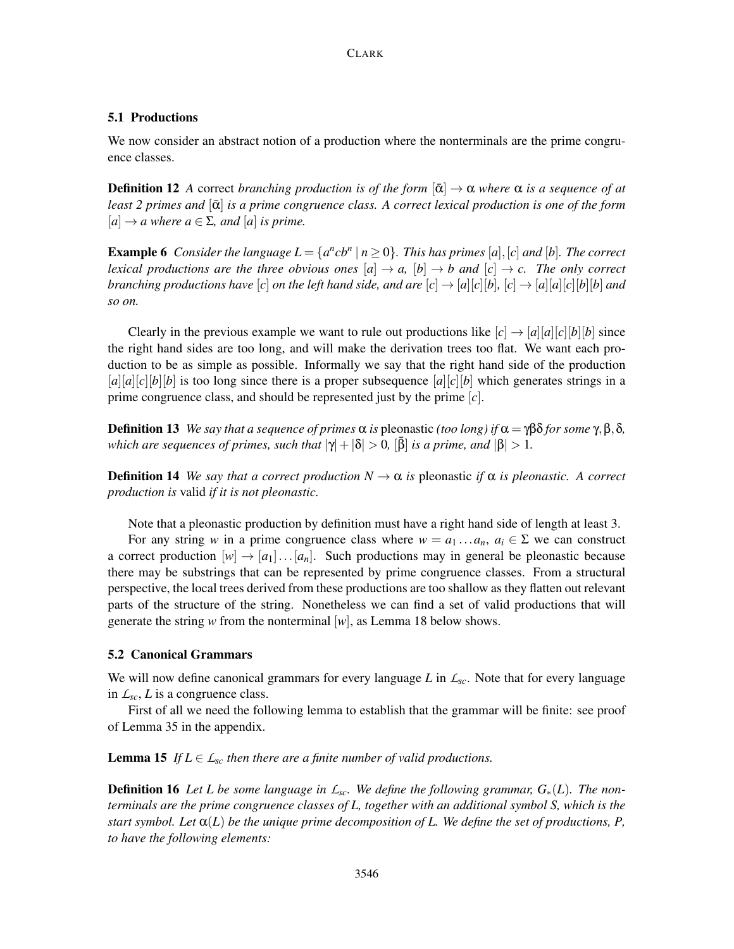#### 5.1 Productions

We now consider an abstract notion of a production where the nonterminals are the prime congruence classes.

**Definition 12** A correct *branching production is of the form*  $|\bar{\alpha}| \to \alpha$  *where*  $\alpha$  *is a sequence of at least 2 primes and* [ᾱ] *is a prime congruence class. A correct lexical production is one of the form*  $[a] \rightarrow a$  *where*  $a \in \Sigma$ *, and*  $[a]$  *is prime.* 

**Example 6** Consider the language  $L = \{a^n cb^n \mid n \ge 0\}$ . This has primes [a], [c] and [b]. The correct *lexical productions are the three obvious ones*  $[a] \rightarrow a$ ,  $[b] \rightarrow b$  and  $[c] \rightarrow c$ . The only correct *branching productions have* [*c*] *on the left hand side, and are* [*c*]  $\rightarrow$  [*a*][*c*][*b*], [*c*]  $\rightarrow$  [*a*][*a*][*c*][*b*][*b*] *and so on.*

Clearly in the previous example we want to rule out productions like  $[c] \rightarrow [a][a][c][b][b]$  since the right hand sides are too long, and will make the derivation trees too flat. We want each production to be as simple as possible. Informally we say that the right hand side of the production  $[a][a][c][b][b]$  is too long since there is a proper subsequence  $[a][c][b]$  which generates strings in a prime congruence class, and should be represented just by the prime [*c*].

**Definition 13** *We say that a sequence of primes*  $\alpha$  *is* pleonastic *(too long) if*  $\alpha = \gamma \beta \delta$  *for some*  $\gamma$ ,  $\beta$ ,  $\delta$ *, which are sequences of primes, such that*  $|\gamma| + |\delta| > 0$ ,  $[\bar{\beta}]$  *is a prime, and*  $|\beta| > 1$ .

**Definition 14** *We say that a correct production*  $N \to \alpha$  *is pleonastic if*  $\alpha$  *is pleonastic.* A correct *production is* valid *if it is not pleonastic.*

Note that a pleonastic production by definition must have a right hand side of length at least 3.

For any string *w* in a prime congruence class where  $w = a_1 \dots a_n$ ,  $a_i \in \Sigma$  we can construct a correct production  $[w] \rightarrow [a_1] \dots [a_n]$ . Such productions may in general be pleonastic because there may be substrings that can be represented by prime congruence classes. From a structural perspective, the local trees derived from these productions are too shallow as they flatten out relevant parts of the structure of the string. Nonetheless we can find a set of valid productions that will generate the string *w* from the nonterminal [*w*], as Lemma 18 below shows.

#### 5.2 Canonical Grammars

We will now define canonical grammars for every language *L* in *Lsc*. Note that for every language in  $L_{\rm sc}$ , *L* is a congruence class.

First of all we need the following lemma to establish that the grammar will be finite: see proof of Lemma 35 in the appendix.

**Lemma 15** *If*  $L \in \mathcal{L}_{\text{sc}}$  *then there are a finite number of valid productions.* 

**Definition 16** Let L be some language in  $\mathcal{L}_{sc}$ . We define the following grammar,  $G_*(L)$ . The non*terminals are the prime congruence classes of L, together with an additional symbol S, which is the start symbol. Let*  $\alpha(L)$  *be the unique prime decomposition of L. We define the set of productions, P. to have the following elements:*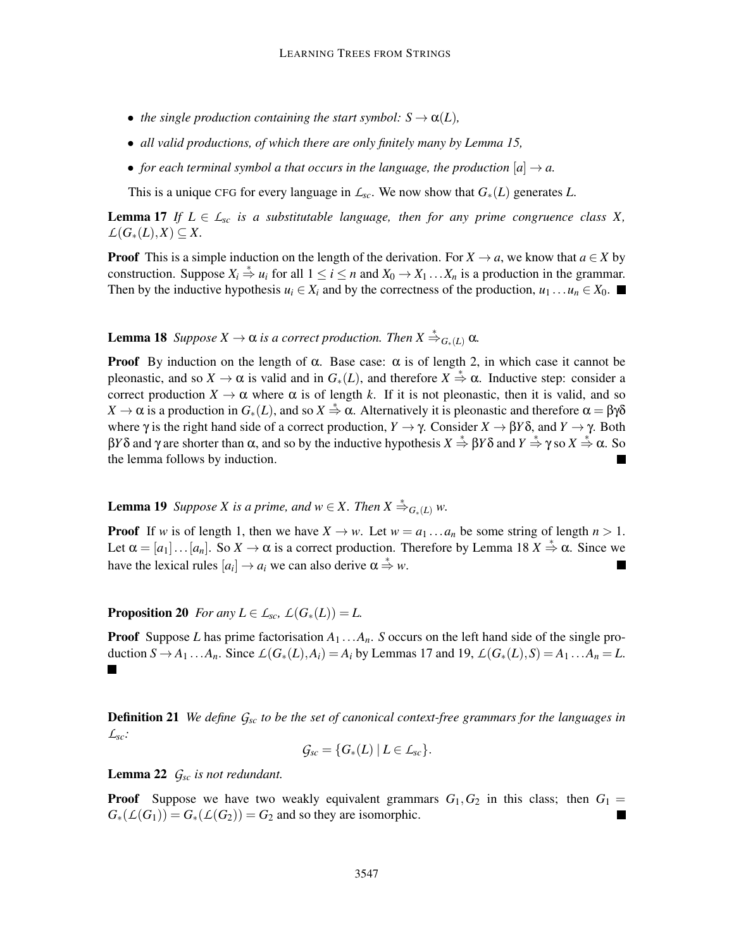- *the single production containing the start symbol:*  $S \rightarrow \alpha(L)$ *,*
- *all valid productions, of which there are only finitely many by Lemma 15,*
- *for each terminal symbol a that occurs in the language, the production*  $[a] \rightarrow a$ .

This is a unique CFG for every language in  $\mathcal{L}_{sc}$ . We now show that  $G_*(L)$  generates  $L$ .

**Lemma 17** If  $L \in \mathcal{L}_{sc}$  *is a substitutable language, then for any prime congruence class X,*  $L(G_*(L), X)$  ⊂ *X*.

**Proof** This is a simple induction on the length of the derivation. For  $X \to a$ , we know that  $a \in X$  by construction. Suppose  $X_i \stackrel{*}{\Rightarrow} u_i$  for all  $1 \le i \le n$  and  $X_0 \to X_1 \dots X_n$  is a production in the grammar. Then by the inductive hypothesis  $u_i \in X_i$  and by the correctness of the production,  $u_1 \dots u_n \in X_0$ .

**Lemma 18** *Suppose*  $X \to \alpha$  *is a correct production. Then*  $X \stackrel{*}{\Rightarrow}_{G_*(L)} \alpha$ *.* 

**Proof** By induction on the length of  $\alpha$ . Base case:  $\alpha$  is of length 2, in which case it cannot be pleonastic, and so  $X \to \alpha$  is valid and in  $G_*(L)$ , and therefore  $X \stackrel{*}{\Rightarrow} \alpha$ . Inductive step: consider a correct production  $X \to \alpha$  where  $\alpha$  is of length k. If it is not pleonastic, then it is valid, and so *X* → α is a production in  $G_*(L)$ , and so  $X \stackrel{*}{\Rightarrow} \alpha$ . Alternatively it is pleonastic and therefore  $\alpha = \beta \gamma \delta$ where  $\gamma$  is the right hand side of a correct production,  $Y \to \gamma$ . Consider  $X \to \beta Y \delta$ , and  $Y \to \gamma$ . Both β*Y*δ and γ are shorter than α, and so by the inductive hypothesis  $X \stackrel{*}{\Rightarrow} \beta Y \delta$  and  $Y \stackrel{*}{\Rightarrow} \gamma$  so  $X \stackrel{*}{\Rightarrow} \alpha$ . So the lemma follows by induction.

**Lemma 19** *Suppose X is a prime, and*  $w \in X$ *. Then*  $X \stackrel{*}{\Rightarrow}_{G_*(L)} w$ *.* 

**Proof** If *w* is of length 1, then we have  $X \to w$ . Let  $w = a_1 \dots a_n$  be some string of length  $n > 1$ . Let  $\alpha = [a_1] \dots [a_n]$ . So  $X \to \alpha$  is a correct production. Therefore by Lemma 18  $X \stackrel{*}{\Rightarrow} \alpha$ . Since we have the lexical rules  $[a_i] \rightarrow a_i$  we can also derive  $\alpha \stackrel{*}{\Rightarrow} w$ .

**Proposition 20** *For any*  $L \in \mathcal{L}_{sc}$ ,  $\mathcal{L}(G_*(L)) = L$ .

**Proof** Suppose *L* has prime factorisation  $A_1 \text{...} A_n$ . *S* occurs on the left hand side of the single production  $S \to A_1 \dots A_n$ . Since  $\mathcal{L}(G_*(L), A_i) = A_i$  by Lemmas 17 and 19,  $\mathcal{L}(G_*(L), S) = A_1 \dots A_n = L$ . ٠

Definition 21 *We define Gsc to be the set of canonical context-free grammars for the languages in Lsc:*

$$
\mathcal{G}_{\mathit{sc}} = \{ G_*(L) \mid L \in \mathcal{L}_{\mathit{sc}} \}.
$$

Lemma 22 *Gsc is not redundant.*

**Proof** Suppose we have two weakly equivalent grammars  $G_1, G_2$  in this class; then  $G_1 =$  $G_*(\mathcal{L}(G_1)) = G_*(\mathcal{L}(G_2)) = G_2$  and so they are isomorphic.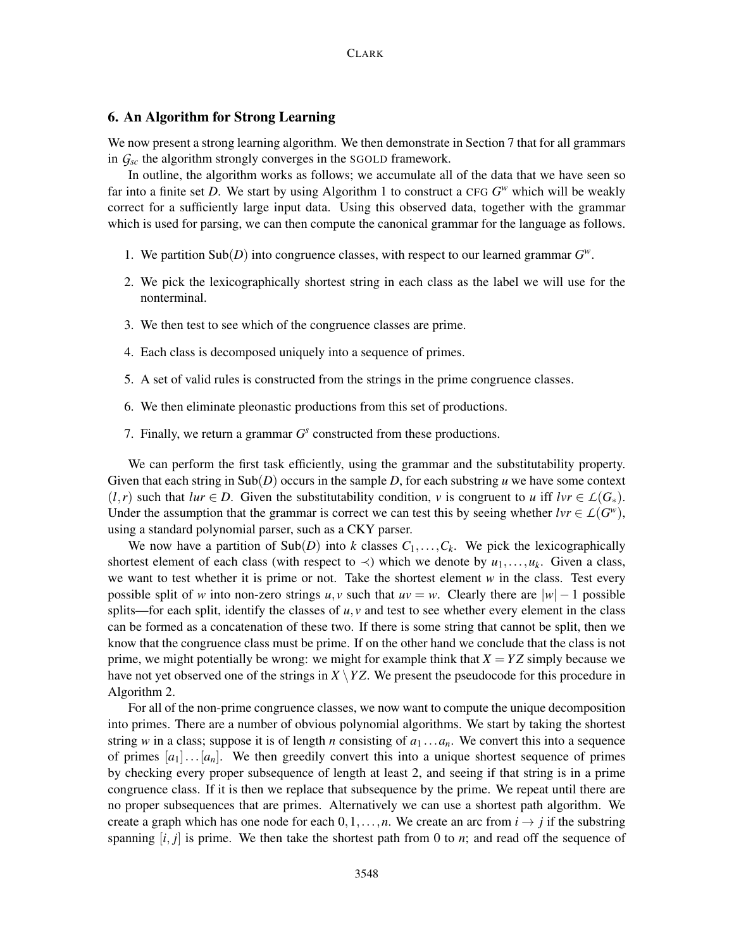## 6. An Algorithm for Strong Learning

We now present a strong learning algorithm. We then demonstrate in Section 7 that for all grammars in *Gsc* the algorithm strongly converges in the SGOLD framework.

In outline, the algorithm works as follows; we accumulate all of the data that we have seen so far into a finite set *D*. We start by using Algorithm 1 to construct a CFG  $G^w$  which will be weakly correct for a sufficiently large input data. Using this observed data, together with the grammar which is used for parsing, we can then compute the canonical grammar for the language as follows.

- 1. We partition  $\text{Sub}(D)$  into congruence classes, with respect to our learned grammar  $G^w$ .
- 2. We pick the lexicographically shortest string in each class as the label we will use for the nonterminal.
- 3. We then test to see which of the congruence classes are prime.
- 4. Each class is decomposed uniquely into a sequence of primes.
- 5. A set of valid rules is constructed from the strings in the prime congruence classes.
- 6. We then eliminate pleonastic productions from this set of productions.
- 7. Finally, we return a grammar  $G<sup>s</sup>$  constructed from these productions.

We can perform the first task efficiently, using the grammar and the substitutability property. Given that each string in  $\text{Sub}(D)$  occurs in the sample D, for each substring  $u$  we have some context  $(l, r)$  such that  $lur \in D$ . Given the substitutability condition, *v* is congruent to *u* iff  $lvr \in L(G_*)$ . Under the assumption that the grammar is correct we can test this by seeing whether  $lvr \in L(G^w)$ , using a standard polynomial parser, such as a CKY parser.

We now have a partition of  $\text{Sub}(D)$  into *k* classes  $C_1, \ldots, C_k$ . We pick the lexicographically shortest element of each class (with respect to  $\prec$ ) which we denote by  $u_1, \ldots, u_k$ . Given a class, we want to test whether it is prime or not. Take the shortest element *w* in the class. Test every possible split of *w* into non-zero strings *u*, *v* such that  $uv = w$ . Clearly there are  $|w| - 1$  possible splits—for each split, identify the classes of  $u, v$  and test to see whether every element in the class can be formed as a concatenation of these two. If there is some string that cannot be split, then we know that the congruence class must be prime. If on the other hand we conclude that the class is not prime, we might potentially be wrong: we might for example think that  $X = YZ$  simply because we have not yet observed one of the strings in  $X \ YZ$ . We present the pseudocode for this procedure in Algorithm 2.

For all of the non-prime congruence classes, we now want to compute the unique decomposition into primes. There are a number of obvious polynomial algorithms. We start by taking the shortest string *w* in a class; suppose it is of length *n* consisting of  $a_1 \ldots a_n$ . We convert this into a sequence of primes  $[a_1] \dots [a_n]$ . We then greedily convert this into a unique shortest sequence of primes by checking every proper subsequence of length at least 2, and seeing if that string is in a prime congruence class. If it is then we replace that subsequence by the prime. We repeat until there are no proper subsequences that are primes. Alternatively we can use a shortest path algorithm. We create a graph which has one node for each  $0,1,\ldots,n$ . We create an arc from  $i \rightarrow j$  if the substring spanning  $[i, j]$  is prime. We then take the shortest path from 0 to  $n$ ; and read off the sequence of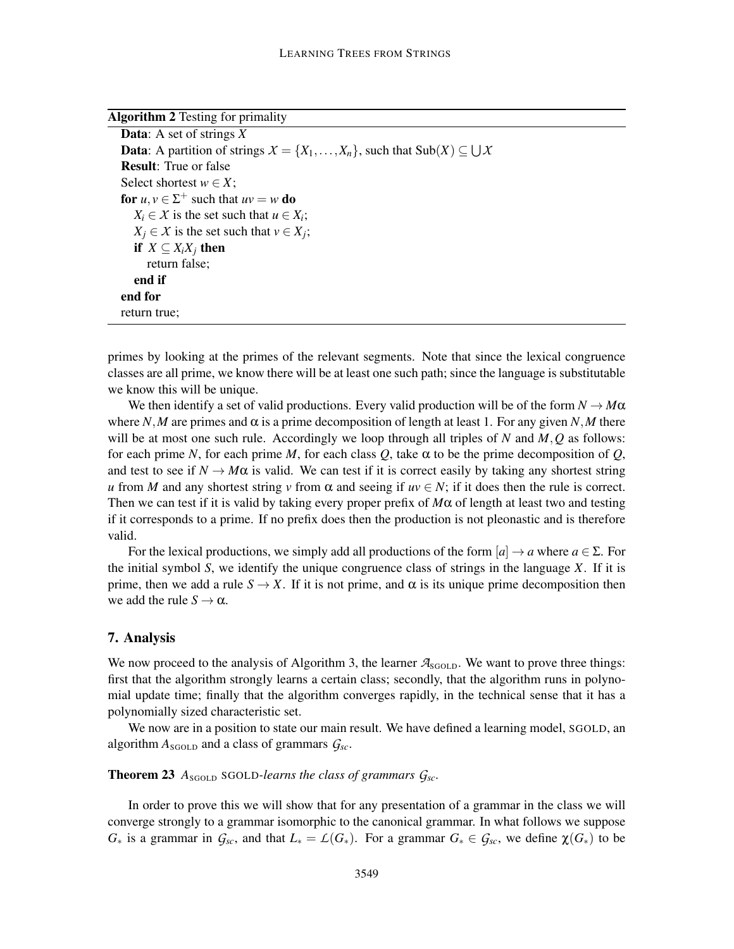| <b>Algorithm 2</b> Testing for primality                                                                                  |
|---------------------------------------------------------------------------------------------------------------------------|
| <b>Data:</b> A set of strings $X$                                                                                         |
| <b>Data</b> : A partition of strings $X = \{X_1, \ldots, X_n\}$ , such that $\text{Sub}(X) \subseteq \bigcup \mathcal{X}$ |
| <b>Result:</b> True or false                                                                                              |
| Select shortest $w \in X$ ;                                                                                               |
| for $u, v \in \Sigma^+$ such that $uv = w$ do                                                                             |
| $X_i \in \mathcal{X}$ is the set such that $u \in X_i$ ;                                                                  |
| $X_i \in \mathcal{X}$ is the set such that $v \in X_i$ ;                                                                  |
| if $X \subseteq X_i X_j$ then                                                                                             |
| return false;                                                                                                             |
| end if                                                                                                                    |
| end for                                                                                                                   |
| return true;                                                                                                              |

primes by looking at the primes of the relevant segments. Note that since the lexical congruence classes are all prime, we know there will be at least one such path; since the language is substitutable we know this will be unique.

We then identify a set of valid productions. Every valid production will be of the form  $N \to M\alpha$ where *N*,*M* are primes and  $\alpha$  is a prime decomposition of length at least 1. For any given *N*,*M* there will be at most one such rule. Accordingly we loop through all triples of *N* and *M*,*Q* as follows: for each prime *N*, for each prime *M*, for each class *Q*, take  $\alpha$  to be the prime decomposition of *Q*, and test to see if  $N \to M\alpha$  is valid. We can test if it is correct easily by taking any shortest string *u* from *M* and any shortest string *v* from  $\alpha$  and seeing if  $uv \in N$ ; if it does then the rule is correct. Then we can test if it is valid by taking every proper prefix of  $M\alpha$  of length at least two and testing if it corresponds to a prime. If no prefix does then the production is not pleonastic and is therefore valid.

For the lexical productions, we simply add all productions of the form  $[a] \rightarrow a$  where  $a \in \Sigma$ . For the initial symbol *S*, we identify the unique congruence class of strings in the language *X*. If it is prime, then we add a rule  $S \to X$ . If it is not prime, and  $\alpha$  is its unique prime decomposition then we add the rule  $S \to \alpha$ .

#### 7. Analysis

We now proceed to the analysis of Algorithm 3, the learner  $A_{SGOLD}$ . We want to prove three things: first that the algorithm strongly learns a certain class; secondly, that the algorithm runs in polynomial update time; finally that the algorithm converges rapidly, in the technical sense that it has a polynomially sized characteristic set.

We now are in a position to state our main result. We have defined a learning model, SGOLD, an algorithm  $A_{SGOLD}$  and a class of grammars  $G_{sc}$ .

## **Theorem 23**  $A_{SGOLD}$  SGOLD-learns the class of grammars  $G_{sc}$ .

In order to prove this we will show that for any presentation of a grammar in the class we will converge strongly to a grammar isomorphic to the canonical grammar. In what follows we suppose  $G_*$  is a grammar in  $G_{sc}$ , and that  $L_* = \mathcal{L}(G_*)$ . For a grammar  $G_* \in G_{sc}$ , we define  $\chi(G_*)$  to be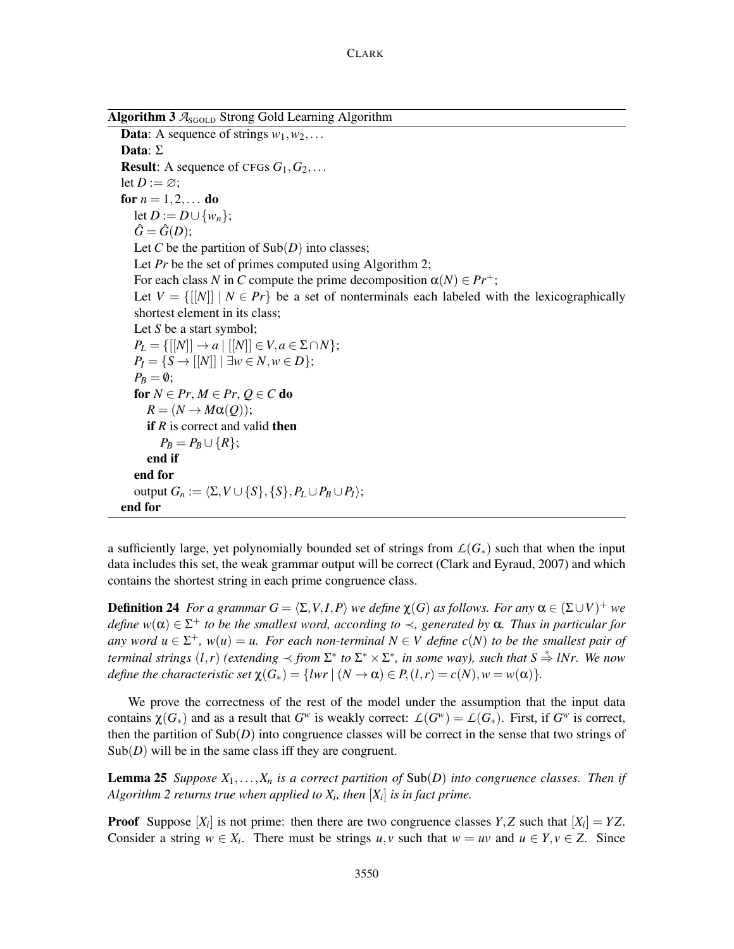Algorithm  $3 \text{ A}_{SGOLD}$  Strong Gold Learning Algorithm

**Data:** A sequence of strings  $w_1, w_2, \ldots$ Data: Σ **Result:** A sequence of CFGs  $G_1, G_2, \ldots$ let  $D := \emptyset$ ; for  $n = 1, 2, ...$  do let *D* := *D*∪{*w<sub>n</sub>*};  $\hat{G} = \hat{G}(D);$ Let *C* be the partition of  $\text{Sub}(D)$  into classes; Let *Pr* be the set of primes computed using Algorithm 2; For each class *N* in *C* compute the prime decomposition  $\alpha(N) \in Pr^+$ ; Let  $V = \{[[N]] \mid N \in Pr\}$  be a set of nonterminals each labeled with the lexicographically shortest element in its class; Let *S* be a start symbol; *P*<sup>*L*</sup> = {[[*N*]] → *a* | [[*N*]] ∈ *V*, *a* ∈ Σ∩*N*}; *P*<sup>*I*</sup> = {*S* → [[*N*]] | ∃*w* ∈ *N*, *w* ∈ *D*};  $P_B = \emptyset$ ; for  $N \in Pr$ ,  $M \in Pr$ ,  $Q \in C$  do  $R = (N \rightarrow M\alpha(Q));$ **if** *R* is correct and valid **then**  $P_R = P_R \cup \{R\};$ end if end for output  $G_n := \langle \Sigma, V \cup \{S\}, \{S\}, P_L \cup P_B \cup P_I \rangle;$ end for

a sufficiently large, yet polynomially bounded set of strings from  $\mathcal{L}(G_*)$  such that when the input data includes this set, the weak grammar output will be correct (Clark and Eyraud, 2007) and which contains the shortest string in each prime congruence class.

**Definition 24** For a grammar  $G = \langle \Sigma, V, I, P \rangle$  we define  $\chi(G)$  as follows. For any  $\alpha \in (\Sigma \cup V)^+$  we *define w*(α) ∈ Σ <sup>+</sup> *to be the smallest word, according to* ≺*, generated by* α*. Thus in particular for any word*  $u \in \Sigma^{+}$ ,  $w(u) = u$ . For each non-terminal  $N \in V$  define  $c(N)$  to be the smallest pair of *terminal strings*  $(l,r)$  *(extending*  $\prec$  *from*  $\Sigma^*$  *to*  $\Sigma^* \times \Sigma^*$ *, in some way), such that*  $S \stackrel{*}{\Rightarrow} lNr$ *. We now define the characteristic set*  $\chi(G_*) = \{lwr \mid (N \to \alpha) \in P, (l,r) = c(N), w = w(\alpha)\}.$ 

We prove the correctness of the rest of the model under the assumption that the input data contains  $\chi(G_*)$  and as a result that  $G^w$  is weakly correct:  $\mathcal{L}(G^w) = \mathcal{L}(G_*)$ . First, if  $G^w$  is correct, then the partition of Sub(*D*) into congruence classes will be correct in the sense that two strings of  $Sub(D)$  will be in the same class iff they are congruent.

**Lemma 25** *Suppose*  $X_1, \ldots, X_n$  *is a correct partition of*  $\text{Sub}(D)$  *into congruence classes. Then if Algorithm 2 returns true when applied to X<sup>i</sup> , then* [*X<sup>i</sup>* ] *is in fact prime.*

**Proof** Suppose  $[X_i]$  is not prime: then there are two congruence classes  $Y, Z$  such that  $[X_i] = YZ$ . Consider a string  $w \in X_i$ . There must be strings  $u, v$  such that  $w = uv$  and  $u \in Y, v \in Z$ . Since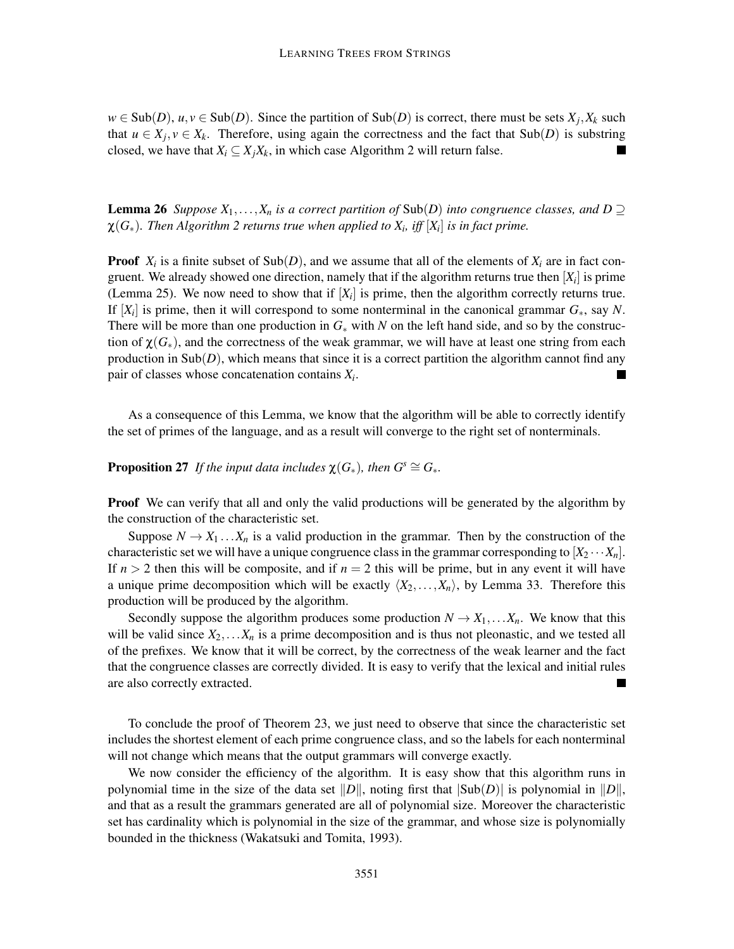$w \in Sub(D)$ ,  $u, v \in Sub(D)$ . Since the partition of  $Sub(D)$  is correct, there must be sets  $X_j, X_k$  such that  $u \in X_j$ ,  $v \in X_k$ . Therefore, using again the correctness and the fact that Sub(*D*) is substring closed, we have that  $X_i \subseteq X_j X_k$ , in which case Algorithm 2 will return false.

**Lemma 26** *Suppose*  $X_1, \ldots, X_n$  *is a correct partition of* Sub(*D*) *into congruence classes, and*  $D \supseteq$  $\chi(G_*)$ . Then Algorithm 2 returns true when applied to  $X_i$ , iff  $[X_i]$  is in fact prime.

**Proof**  $X_i$  is a finite subset of  $\text{Sub}(D)$ , and we assume that all of the elements of  $X_i$  are in fact congruent. We already showed one direction, namely that if the algorithm returns true then  $[X_i]$  is prime (Lemma 25). We now need to show that if  $[X_i]$  is prime, then the algorithm correctly returns true. If [*X<sup>i</sup>* ] is prime, then it will correspond to some nonterminal in the canonical grammar *G*∗, say *N*. There will be more than one production in  $G_*$  with *N* on the left hand side, and so by the construction of  $\chi(G_*)$ , and the correctness of the weak grammar, we will have at least one string from each production in  $\text{Sub}(D)$ , which means that since it is a correct partition the algorithm cannot find any pair of classes whose concatenation contains *X<sup>i</sup>* . ▅

As a consequence of this Lemma, we know that the algorithm will be able to correctly identify the set of primes of the language, and as a result will converge to the right set of nonterminals.

**Proposition 27** *If the input data includes*  $\chi(G_*)$ *, then*  $G^s \cong G_*$ *.* 

**Proof** We can verify that all and only the valid productions will be generated by the algorithm by the construction of the characteristic set.

Suppose  $N \to X_1 \dots X_n$  is a valid production in the grammar. Then by the construction of the characteristic set we will have a unique congruence class in the grammar corresponding to  $[X_2 \cdots X_n]$ . If  $n > 2$  then this will be composite, and if  $n = 2$  this will be prime, but in any event it will have a unique prime decomposition which will be exactly  $\langle X_2,...,X_n \rangle$ , by Lemma 33. Therefore this production will be produced by the algorithm.

Secondly suppose the algorithm produces some production  $N \to X_1, \ldots, X_n$ . We know that this will be valid since  $X_2, \ldots, X_n$  is a prime decomposition and is thus not pleonastic, and we tested all of the prefixes. We know that it will be correct, by the correctness of the weak learner and the fact that the congruence classes are correctly divided. It is easy to verify that the lexical and initial rules are also correctly extracted.  $\blacksquare$ 

To conclude the proof of Theorem 23, we just need to observe that since the characteristic set includes the shortest element of each prime congruence class, and so the labels for each nonterminal will not change which means that the output grammars will converge exactly.

We now consider the efficiency of the algorithm. It is easy show that this algorithm runs in polynomial time in the size of the data set  $||D||$ , noting first that  $|Sub(D)|$  is polynomial in  $||D||$ , and that as a result the grammars generated are all of polynomial size. Moreover the characteristic set has cardinality which is polynomial in the size of the grammar, and whose size is polynomially bounded in the thickness (Wakatsuki and Tomita, 1993).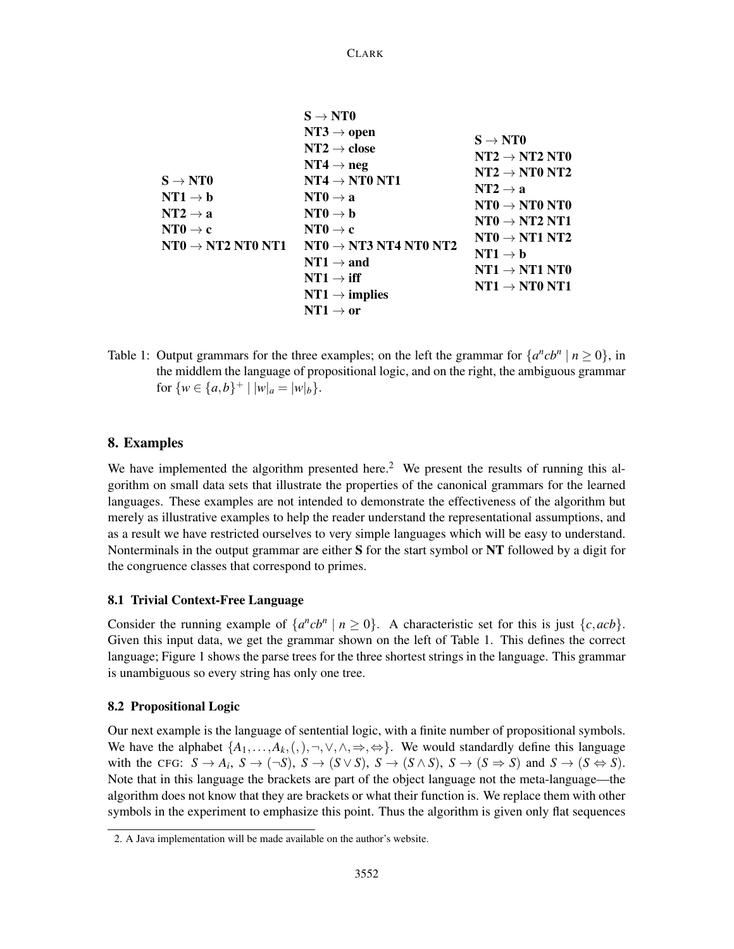|                                       | $S \rightarrow NTO$                                 |                                                                                                                                                                                                                                            |
|---------------------------------------|-----------------------------------------------------|--------------------------------------------------------------------------------------------------------------------------------------------------------------------------------------------------------------------------------------------|
|                                       | $NT3 \rightarrow open$                              | $S \rightarrow NTO$                                                                                                                                                                                                                        |
|                                       | $NT2 \rightarrow close$                             |                                                                                                                                                                                                                                            |
|                                       | $NT4 \rightarrow neg$                               | $\textbf{NT2}\rightarrow\textbf{NT2}$<br>$\textbf{NT0}$                                                                                                                                                                                    |
| $\mathbf{S} \rightarrow \mathbf{NT0}$ | $NT4 \rightarrow NT0 NT1$                           | $NT2 \rightarrow NTO NT2$<br>$NT2 \rightarrow a$<br>$\textbf{NT0} \rightarrow \textbf{NT0}$ NT0<br>$NT0 \rightarrow NT2 NT1$<br>$NT0 \rightarrow NT1 NT2$<br>$NT1 \rightarrow b$<br>$NT1 \rightarrow NT1 NT0$<br>$NT1 \rightarrow NT0 NT1$ |
| $\mathbf{NT1} \to \mathbf{b}$         | $NT0 \rightarrow a$                                 |                                                                                                                                                                                                                                            |
| $\mathbf{NT2} \rightarrow \mathbf{a}$ | $NT0 \rightarrow b$                                 |                                                                                                                                                                                                                                            |
| $\mathbf{NT0}\rightarrow \mathbf{c}$  | $NT0 \rightarrow c$                                 |                                                                                                                                                                                                                                            |
| NTO $\rightarrow$ NT2 NT0 NT1         | $\mathrm{NT0} \rightarrow \mathrm{NT3}$ NT4 NT0 NT2 |                                                                                                                                                                                                                                            |
|                                       | $NT1 \rightarrow and$                               |                                                                                                                                                                                                                                            |
|                                       | $NT1 \rightarrow iff$                               |                                                                                                                                                                                                                                            |
|                                       | $NT1 \rightarrow$ implies                           |                                                                                                                                                                                                                                            |
|                                       | $NT1 \rightarrow or$                                |                                                                                                                                                                                                                                            |
|                                       |                                                     |                                                                                                                                                                                                                                            |

CLARK

Table 1: Output grammars for the three examples; on the left the grammar for  $\{a^ncb^n \mid n \ge 0\}$ , in the middlem the language of propositional logic, and on the right, the ambiguous grammar for  $\{w \in \{a,b\}^+ \mid |w|_a = |w|_b\}.$ 

## 8. Examples

We have implemented the algorithm presented here.<sup>2</sup> We present the results of running this algorithm on small data sets that illustrate the properties of the canonical grammars for the learned languages. These examples are not intended to demonstrate the effectiveness of the algorithm but merely as illustrative examples to help the reader understand the representational assumptions, and as a result we have restricted ourselves to very simple languages which will be easy to understand. Nonterminals in the output grammar are either  $S$  for the start symbol or  $NT$  followed by a digit for the congruence classes that correspond to primes.

## 8.1 Trivial Context-Free Language

Consider the running example of  $\{a^ncb^n \mid n \ge 0\}$ . A characteristic set for this is just  $\{c, acb\}$ . Given this input data, we get the grammar shown on the left of Table 1. This defines the correct language; Figure 1 shows the parse trees for the three shortest strings in the language. This grammar is unambiguous so every string has only one tree.

## 8.2 Propositional Logic

Our next example is the language of sentential logic, with a finite number of propositional symbols. We have the alphabet  $\{A_1,\ldots,A_k, (,) , \neg, \vee, \wedge, \Rightarrow, \Leftrightarrow\}$ . We would standardly define this language with the CFG:  $S \to A_i$ ,  $S \to (\neg S)$ ,  $S \to (S \lor S)$ ,  $S \to (S \land S)$ ,  $S \to (S \Rightarrow S)$  and  $S \to (S \Leftrightarrow S)$ . Note that in this language the brackets are part of the object language not the meta-language—the algorithm does not know that they are brackets or what their function is. We replace them with other symbols in the experiment to emphasize this point. Thus the algorithm is given only flat sequences

<sup>2.</sup> A Java implementation will be made available on the author's website.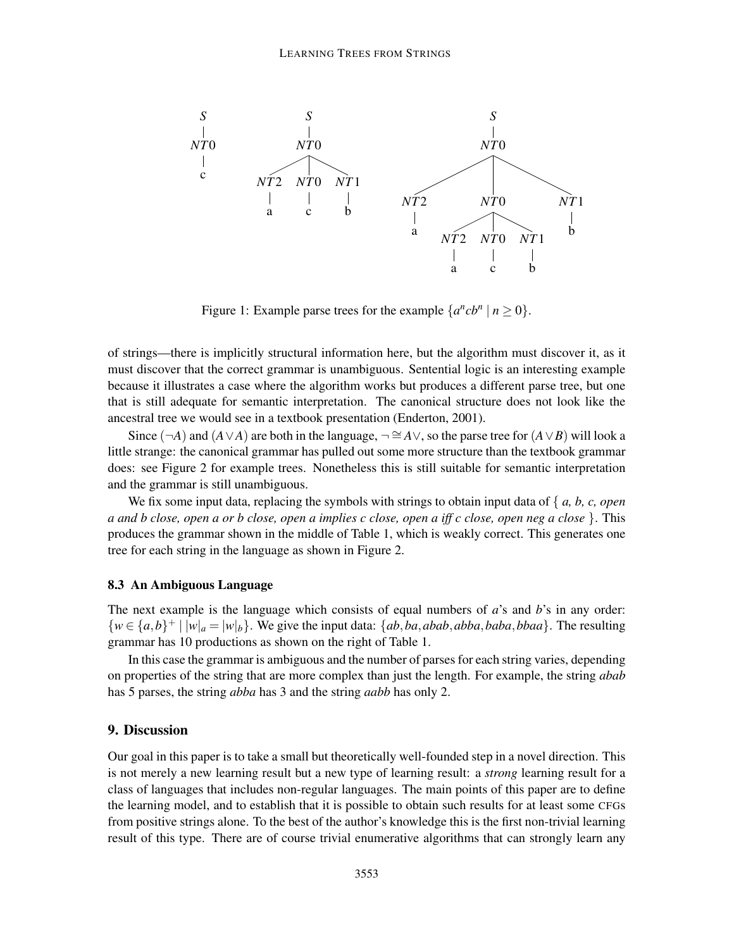

Figure 1: Example parse trees for the example  $\{a^ncb^n \mid n \ge 0\}.$ 

of strings—there is implicitly structural information here, but the algorithm must discover it, as it must discover that the correct grammar is unambiguous. Sentential logic is an interesting example because it illustrates a case where the algorithm works but produces a different parse tree, but one that is still adequate for semantic interpretation. The canonical structure does not look like the ancestral tree we would see in a textbook presentation (Enderton, 2001).

Since (¬*A*) and  $(A \vee A)$  are both in the language,  $\neg \cong A \vee$ , so the parse tree for  $(A \vee B)$  will look a little strange: the canonical grammar has pulled out some more structure than the textbook grammar does: see Figure 2 for example trees. Nonetheless this is still suitable for semantic interpretation and the grammar is still unambiguous.

We fix some input data, replacing the symbols with strings to obtain input data of { *a, b, c, open a and b close, open a or b close, open a implies c close, open a iff c close, open neg a close* }. This produces the grammar shown in the middle of Table 1, which is weakly correct. This generates one tree for each string in the language as shown in Figure 2.

## 8.3 An Ambiguous Language

The next example is the language which consists of equal numbers of *a*'s and *b*'s in any order:  $\{w \in \{a,b\}^+ \mid |w|_a = |w|_b\}$ . We give the input data:  $\{ab, ba, abab, abba, baba\}$ . The resulting grammar has 10 productions as shown on the right of Table 1.

In this case the grammar is ambiguous and the number of parses for each string varies, depending on properties of the string that are more complex than just the length. For example, the string *abab* has 5 parses, the string *abba* has 3 and the string *aabb* has only 2.

## 9. Discussion

Our goal in this paper is to take a small but theoretically well-founded step in a novel direction. This is not merely a new learning result but a new type of learning result: a *strong* learning result for a class of languages that includes non-regular languages. The main points of this paper are to define the learning model, and to establish that it is possible to obtain such results for at least some CFGs from positive strings alone. To the best of the author's knowledge this is the first non-trivial learning result of this type. There are of course trivial enumerative algorithms that can strongly learn any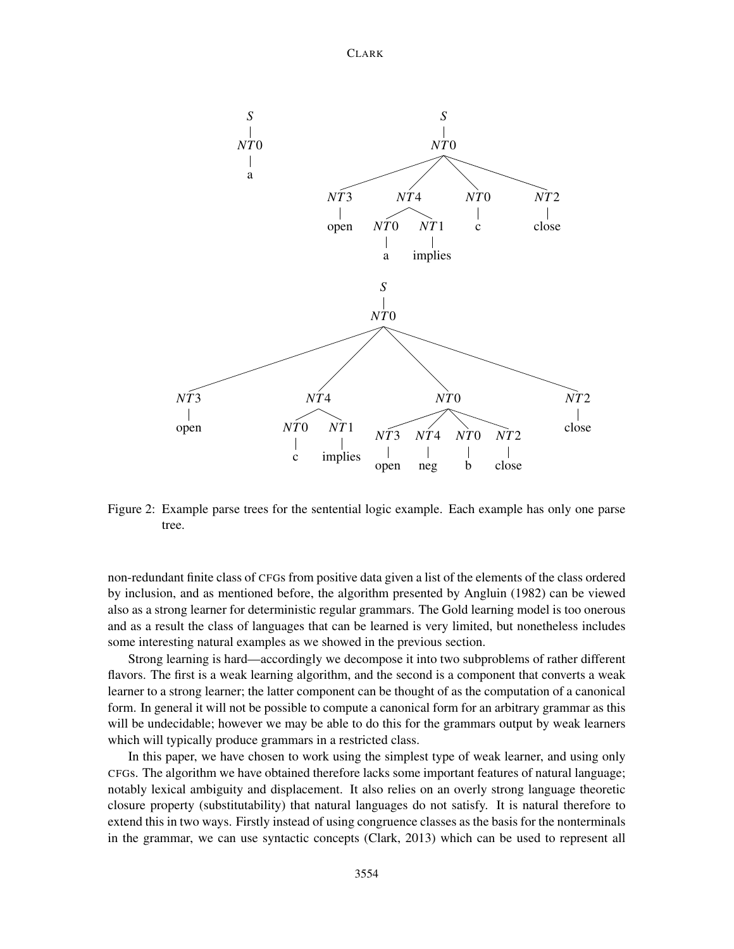

Figure 2: Example parse trees for the sentential logic example. Each example has only one parse tree.

non-redundant finite class of CFGs from positive data given a list of the elements of the class ordered by inclusion, and as mentioned before, the algorithm presented by Angluin (1982) can be viewed also as a strong learner for deterministic regular grammars. The Gold learning model is too onerous and as a result the class of languages that can be learned is very limited, but nonetheless includes some interesting natural examples as we showed in the previous section.

Strong learning is hard—accordingly we decompose it into two subproblems of rather different flavors. The first is a weak learning algorithm, and the second is a component that converts a weak learner to a strong learner; the latter component can be thought of as the computation of a canonical form. In general it will not be possible to compute a canonical form for an arbitrary grammar as this will be undecidable; however we may be able to do this for the grammars output by weak learners which will typically produce grammars in a restricted class.

In this paper, we have chosen to work using the simplest type of weak learner, and using only CFGs. The algorithm we have obtained therefore lacks some important features of natural language; notably lexical ambiguity and displacement. It also relies on an overly strong language theoretic closure property (substitutability) that natural languages do not satisfy. It is natural therefore to extend this in two ways. Firstly instead of using congruence classes as the basis for the nonterminals in the grammar, we can use syntactic concepts (Clark, 2013) which can be used to represent all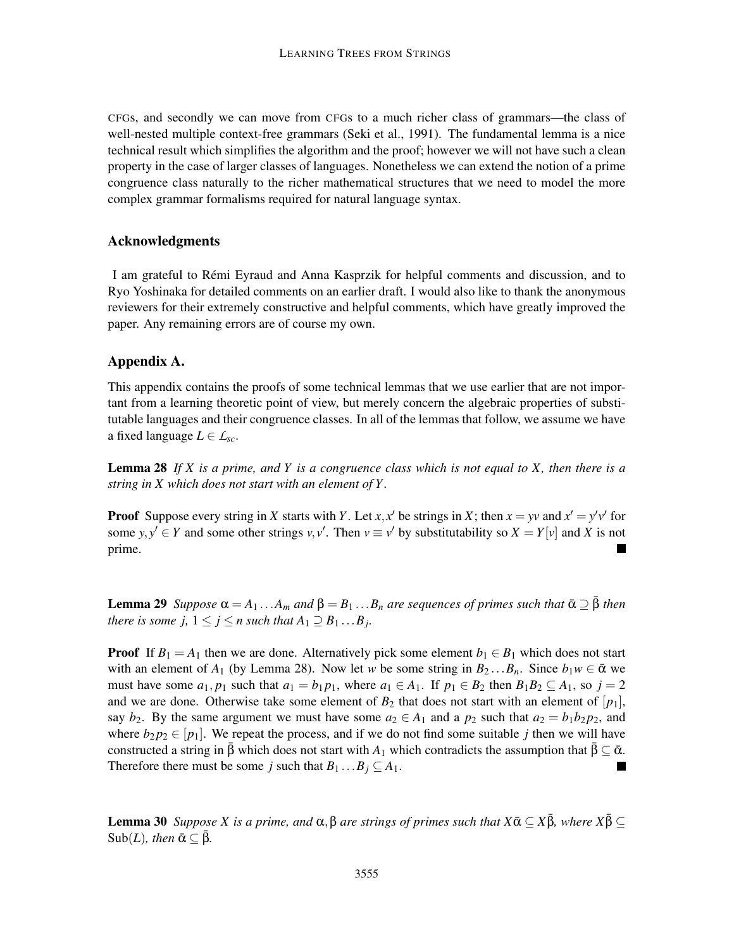CFGs, and secondly we can move from CFGs to a much richer class of grammars—the class of well-nested multiple context-free grammars (Seki et al., 1991). The fundamental lemma is a nice technical result which simplifies the algorithm and the proof; however we will not have such a clean property in the case of larger classes of languages. Nonetheless we can extend the notion of a prime congruence class naturally to the richer mathematical structures that we need to model the more complex grammar formalisms required for natural language syntax.

## Acknowledgments

I am grateful to Remi Eyraud and Anna Kasprzik for helpful comments and discussion, and to ´ Ryo Yoshinaka for detailed comments on an earlier draft. I would also like to thank the anonymous reviewers for their extremely constructive and helpful comments, which have greatly improved the paper. Any remaining errors are of course my own.

## Appendix A.

This appendix contains the proofs of some technical lemmas that we use earlier that are not important from a learning theoretic point of view, but merely concern the algebraic properties of substitutable languages and their congruence classes. In all of the lemmas that follow, we assume we have a fixed language  $L \in \mathcal{L}_{sc}$ .

Lemma 28 *If X is a prime, and Y is a congruence class which is not equal to X, then there is a string in X which does not start with an element of Y .*

**Proof** Suppose every string in *X* starts with *Y*. Let *x*, *x*<sup> $\prime$ </sup> be strings in *X*; then *x* = *yv* and *x*<sup> $\prime$ </sup> = *y*<sup> $\prime$ </sup> v<sup> $\prime$ </sup> for some  $y, y' \in Y$  and some other strings  $v, v'$ . Then  $v \equiv v'$  by substitutability so  $X = Y[v]$  and X is not prime.

**Lemma 29** *Suppose*  $\alpha = A_1 \dots A_m$  *and*  $\beta = B_1 \dots B_n$  *are sequences of primes such that*  $\bar{\alpha} \supseteq \bar{\beta}$  *then there is some*  $j$ *,*  $1 \leq j \leq n$  *such that*  $A_1 \supseteq B_1 \dots B_j$ .

**Proof** If  $B_1 = A_1$  then we are done. Alternatively pick some element  $b_1 \in B_1$  which does not start with an element of  $A_1$  (by Lemma 28). Now let *w* be some string in  $B_2 \dots B_n$ . Since  $b_1 w \in \bar{\alpha}$  we must have some  $a_1, p_1$  such that  $a_1 = b_1 p_1$ , where  $a_1 \in A_1$ . If  $p_1 \in B_2$  then  $B_1 B_2 \subseteq A_1$ , so  $j = 2$ and we are done. Otherwise take some element of  $B_2$  that does not start with an element of  $[p_1]$ , say  $b_2$ . By the same argument we must have some  $a_2 \in A_1$  and a  $p_2$  such that  $a_2 = b_1b_2p_2$ , and where  $b_2 p_2 \in [p_1]$ . We repeat the process, and if we do not find some suitable *j* then we will have constructed a string in  $\beta$  which does not start with *A*<sub>1</sub> which contradicts the assumption that  $\bar{\beta} \subset \bar{\alpha}$ . Therefore there must be some *j* such that  $B_1 \dots B_j \subseteq A_1$ .

**Lemma 30** *Suppose X is a prime, and*  $\alpha$ ,  $\beta$  *are strings of primes such that*  $X\bar{\alpha} \subseteq X\bar{\beta}$ *, where*  $X\bar{\beta} \subseteq$  $Sub(L)$ *, then*  $\bar{\alpha} \subset \bar{\beta}$ *.*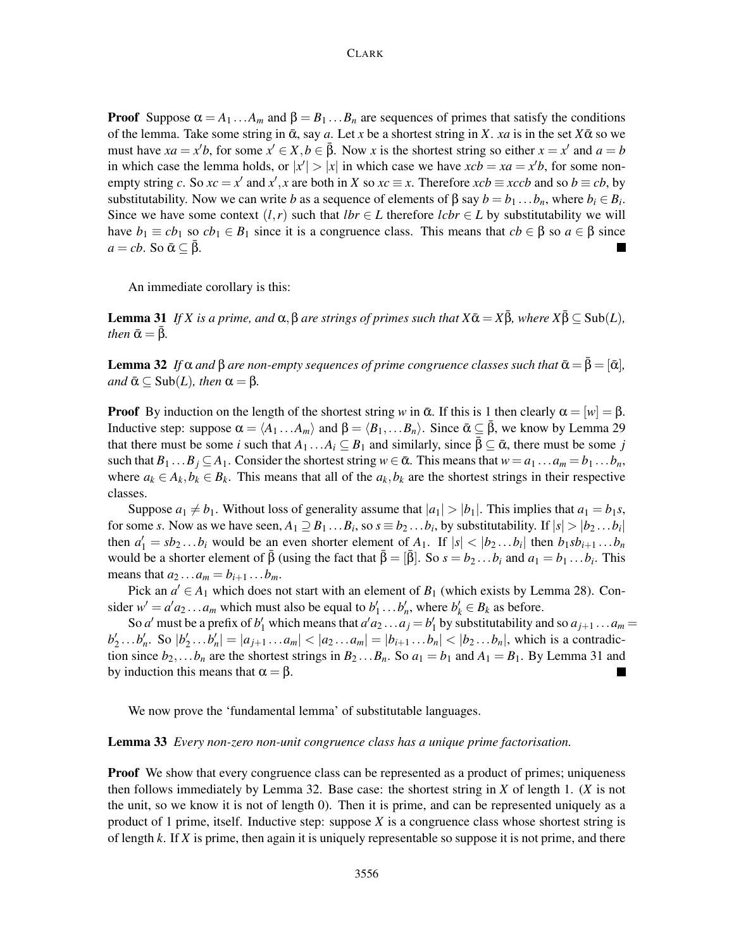**Proof** Suppose  $\alpha = A_1 \dots A_m$  and  $\beta = B_1 \dots B_n$  are sequences of primes that satisfy the conditions of the lemma. Take some string in  $\bar{\alpha}$ , say *a*. Let *x* be a shortest string in *X*. *xa* is in the set  $X\bar{\alpha}$  so we must have  $xa = x'b$ , for some  $x' \in X, b \in \bar{\beta}$ . Now *x* is the shortest string so either  $x = x'$  and  $a = b$ in which case the lemma holds, or  $|x'| > |x|$  in which case we have  $xcb = xa = x'b$ , for some nonempty string *c*. So  $xc = x'$  and  $x'$ , *x* are both in *X* so  $xc \equiv x$ . Therefore  $xcb \equiv xccb$  and so  $b \equiv cb$ , by substitutability. Now we can write *b* as a sequence of elements of  $\beta$  say  $b = b_1 \dots b_n$ , where  $b_i \in B_i$ . Since we have some context  $(l, r)$  such that  $lbr \in L$  therefore  $lcbr \in L$  by substitutability we will have  $b_1 \equiv cb_1$  so  $cb_1 \in B_1$  since it is a congruence class. This means that  $cb \in \beta$  so  $a \in \beta$  since  $a = cb$ . So  $\bar{\alpha} \subset \bar{\beta}$ .

An immediate corollary is this:

**Lemma 31** *If X is a prime, and*  $\alpha$ ,  $\beta$  *are strings of primes such that*  $X\bar{\alpha} = X\bar{\beta}$ *, where*  $X\bar{\beta} \subseteq Sub(L)$ *, then*  $\bar{\alpha} = \beta$ *.* 

**Lemma 32** *If*  $\alpha$  *and*  $\beta$  *are non-empty sequences of prime congruence classes such that*  $\bar{\alpha} = \beta = [\bar{\alpha}]$ *,*  $\alpha$ *and*  $\bar{\alpha} \subseteq$  Sub(*L*)*, then*  $\alpha = \beta$ *.* 

**Proof** By induction on the length of the shortest string *w* in  $\bar{\alpha}$ . If this is 1 then clearly  $\alpha = |w| = \beta$ . Inductive step: suppose  $\alpha = \langle A_1 ... A_m \rangle$  and  $\beta = \langle B_1,... B_n \rangle$ . Since  $\bar{\alpha} \subseteq \bar{\beta}$ , we know by Lemma 29 that there must be some *i* such that  $A_1 \dots A_i \subseteq B_1$  and similarly, since  $\beta \subseteq \bar{\alpha}$ , there must be some *j* such that  $B_1 \dots B_j \subseteq A_1$ . Consider the shortest string  $w \in \bar{\alpha}$ . This means that  $w = a_1 \dots a_m = b_1 \dots b_n$ , where  $a_k \in A_k$ ,  $b_k \in B_k$ . This means that all of the  $a_k$ ,  $b_k$  are the shortest strings in their respective classes.

Suppose  $a_1 \neq b_1$ . Without loss of generality assume that  $|a_1| > |b_1|$ . This implies that  $a_1 = b_1 s$ , for some *s*. Now as we have seen,  $A_1 \supseteq B_1 \dots B_i$ , so  $s \equiv b_2 \dots b_i$ , by substitutability. If  $|s| > |b_2 \dots b_i|$ then  $a'_1 = sb_2 \dots b_i$  would be an even shorter element of  $A_1$ . If  $|s| < |b_2 \dots b_i|$  then  $b_1 sb_{i+1} \dots b_n$ would be a shorter element of  $\bar{\beta}$  (using the fact that  $\bar{\beta} = [\bar{\beta}]$ . So  $s = b_2 ... b_i$  and  $a_1 = b_1 ... b_i$ . This means that  $a_2 ... a_m = b_{i+1} ... b_m$ .

Pick an  $a' \in A_1$  which does not start with an element of  $B_1$  (which exists by Lemma 28). Consider  $w' = a'a_2 \dots a_m$  which must also be equal to  $b'_1 \dots b'_n$ , where  $b'_k \in B_k$  as before.

So *a'* must be a prefix of  $b'_1$  which means that  $a' a_2 \dots a_j = b'_1$  by substitutability and so  $a_{j+1} \dots a_m =$  $b'_2...b'_n$ . So  $|b'_2...b'_n|=|a_{j+1}...a_n|<|a_2...a_n|=|b_{i+1}...b_n|<|b_2...b_n|$ , which is a contradiction since  $b_2$ ,... $b_n$  are the shortest strings in  $B_2$ ... $B_n$ . So  $a_1 = b_1$  and  $A_1 = B_1$ . By Lemma 31 and by induction this means that  $\alpha = \beta$ .

We now prove the 'fundamental lemma' of substitutable languages.

#### Lemma 33 *Every non-zero non-unit congruence class has a unique prime factorisation.*

**Proof** We show that every congruence class can be represented as a product of primes; uniqueness then follows immediately by Lemma 32. Base case: the shortest string in *X* of length 1. (*X* is not the unit, so we know it is not of length 0). Then it is prime, and can be represented uniquely as a product of 1 prime, itself. Inductive step: suppose *X* is a congruence class whose shortest string is of length *k*. If *X* is prime, then again it is uniquely representable so suppose it is not prime, and there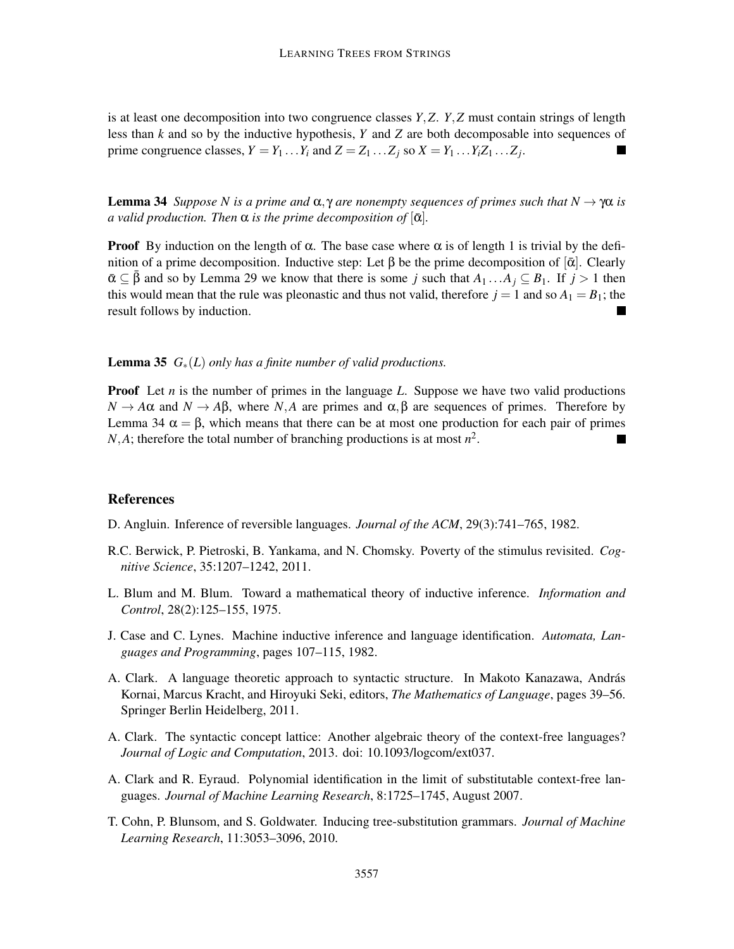is at least one decomposition into two congruence classes *Y*,*Z*. *Y*,*Z* must contain strings of length less than *k* and so by the inductive hypothesis, *Y* and *Z* are both decomposable into sequences of prime congruence classes,  $Y = Y_1 \dots Y_i$  and  $Z = Z_1 \dots Z_j$  so  $X = Y_1 \dots Y_i Z_1 \dots Z_j$ .  $\blacksquare$ 

**Lemma 34** *Suppose N is a prime and*  $\alpha, \gamma$  *are nonempty sequences of primes such that*  $N \to \gamma \alpha$  *is a* valid production. Then  $\alpha$  is the prime decomposition of  $[\bar{\alpha}]$ .

**Proof** By induction on the length of  $\alpha$ . The base case where  $\alpha$  is of length 1 is trivial by the definition of a prime decomposition. Inductive step: Let β be the prime decomposition of [ᾱ]. Clearly  $\bar{\alpha} \subseteq \beta$  and so by Lemma 29 we know that there is some *j* such that  $A_1 \dots A_j \subseteq B_1$ . If  $j > 1$  then this would mean that the rule was pleonastic and thus not valid, therefore  $j = 1$  and so  $A_1 = B_1$ ; the result follows by induction.

Lemma 35 *G*∗(*L*) *only has a finite number of valid productions.*

**Proof** Let *n* is the number of primes in the language L. Suppose we have two valid productions  $N \to A\alpha$  and  $N \to AB$ , where *N*,*A* are primes and  $\alpha, \beta$  are sequences of primes. Therefore by Lemma 34  $\alpha = \beta$ , which means that there can be at most one production for each pair of primes *N*,*A*; therefore the total number of branching productions is at most  $n^2$ .

#### References

D. Angluin. Inference of reversible languages. *Journal of the ACM*, 29(3):741–765, 1982.

- R.C. Berwick, P. Pietroski, B. Yankama, and N. Chomsky. Poverty of the stimulus revisited. *Cognitive Science*, 35:1207–1242, 2011.
- L. Blum and M. Blum. Toward a mathematical theory of inductive inference. *Information and Control*, 28(2):125–155, 1975.
- J. Case and C. Lynes. Machine inductive inference and language identification. *Automata, Languages and Programming*, pages 107–115, 1982.
- A. Clark. A language theoretic approach to syntactic structure. In Makoto Kanazawa, András Kornai, Marcus Kracht, and Hiroyuki Seki, editors, *The Mathematics of Language*, pages 39–56. Springer Berlin Heidelberg, 2011.
- A. Clark. The syntactic concept lattice: Another algebraic theory of the context-free languages? *Journal of Logic and Computation*, 2013. doi: 10.1093/logcom/ext037.
- A. Clark and R. Eyraud. Polynomial identification in the limit of substitutable context-free languages. *Journal of Machine Learning Research*, 8:1725–1745, August 2007.
- T. Cohn, P. Blunsom, and S. Goldwater. Inducing tree-substitution grammars. *Journal of Machine Learning Research*, 11:3053–3096, 2010.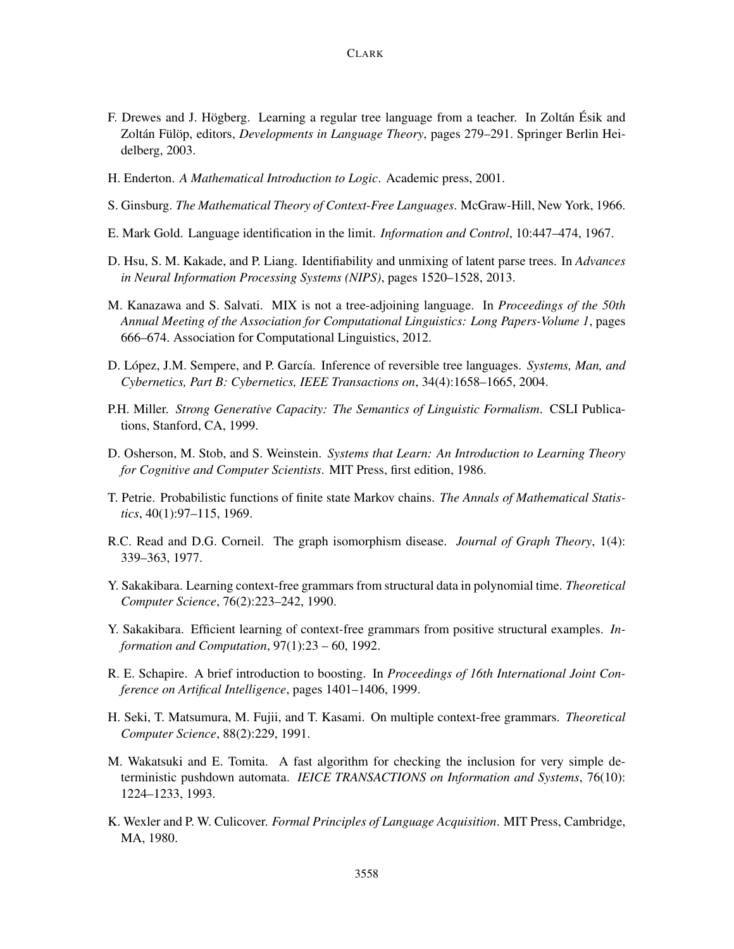- F. Drewes and J. Högberg. Learning a regular tree language from a teacher. In Zoltán Ésik and Zoltán Fülöp, editors, *Developments in Language Theory*, pages 279–291. Springer Berlin Heidelberg, 2003.
- H. Enderton. *A Mathematical Introduction to Logic*. Academic press, 2001.
- S. Ginsburg. *The Mathematical Theory of Context-Free Languages*. McGraw-Hill, New York, 1966.
- E. Mark Gold. Language identification in the limit. *Information and Control*, 10:447–474, 1967.
- D. Hsu, S. M. Kakade, and P. Liang. Identifiability and unmixing of latent parse trees. In *Advances in Neural Information Processing Systems (NIPS)*, pages 1520–1528, 2013.
- M. Kanazawa and S. Salvati. MIX is not a tree-adjoining language. In *Proceedings of the 50th Annual Meeting of the Association for Computational Linguistics: Long Papers-Volume 1*, pages 666–674. Association for Computational Linguistics, 2012.
- D. López, J.M. Sempere, and P. García. Inference of reversible tree languages. *Systems, Man, and Cybernetics, Part B: Cybernetics, IEEE Transactions on*, 34(4):1658–1665, 2004.
- P.H. Miller. *Strong Generative Capacity: The Semantics of Linguistic Formalism*. CSLI Publications, Stanford, CA, 1999.
- D. Osherson, M. Stob, and S. Weinstein. *Systems that Learn: An Introduction to Learning Theory for Cognitive and Computer Scientists*. MIT Press, first edition, 1986.
- T. Petrie. Probabilistic functions of finite state Markov chains. *The Annals of Mathematical Statistics*, 40(1):97–115, 1969.
- R.C. Read and D.G. Corneil. The graph isomorphism disease. *Journal of Graph Theory*, 1(4): 339–363, 1977.
- Y. Sakakibara. Learning context-free grammars from structural data in polynomial time. *Theoretical Computer Science*, 76(2):223–242, 1990.
- Y. Sakakibara. Efficient learning of context-free grammars from positive structural examples. *Information and Computation*, 97(1):23 – 60, 1992.
- R. E. Schapire. A brief introduction to boosting. In *Proceedings of 16th International Joint Conference on Artifical Intelligence*, pages 1401–1406, 1999.
- H. Seki, T. Matsumura, M. Fujii, and T. Kasami. On multiple context-free grammars. *Theoretical Computer Science*, 88(2):229, 1991.
- M. Wakatsuki and E. Tomita. A fast algorithm for checking the inclusion for very simple deterministic pushdown automata. *IEICE TRANSACTIONS on Information and Systems*, 76(10): 1224–1233, 1993.
- K. Wexler and P. W. Culicover. *Formal Principles of Language Acquisition*. MIT Press, Cambridge, MA, 1980.